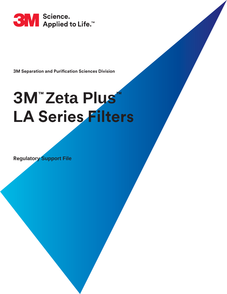

**3M Separation and Purification Sciences Division**

# **LA Series Filters 3M™ Zeta Plus™**

**Regulatory Support File**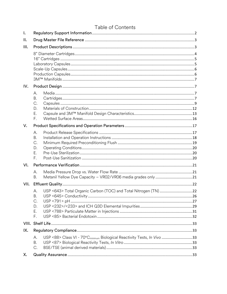|       | Table of Contents                                                                                            |  |
|-------|--------------------------------------------------------------------------------------------------------------|--|
| I.    |                                                                                                              |  |
| ΙΙ.   |                                                                                                              |  |
| III.  |                                                                                                              |  |
|       |                                                                                                              |  |
| IV.   |                                                                                                              |  |
|       | А.<br>Β.<br>C.<br>D.<br>Ε.<br>F.                                                                             |  |
| V.    |                                                                                                              |  |
|       | А.<br><b>B.</b><br>C.<br>D.<br>Ε.<br>F.                                                                      |  |
| VI.   |                                                                                                              |  |
|       | А.<br>Β.                                                                                                     |  |
| VII.  |                                                                                                              |  |
|       | USP <643> Total Organic Carbon (TOC) and Total Nitrogen (TN) 22<br>А.<br>B.<br>C.<br>D.<br>Ε.<br>F.          |  |
| VIII. |                                                                                                              |  |
| IX.   |                                                                                                              |  |
|       | USP <88> Class VI - 70°C <sub>minimum</sub> Biological Reactivity Tests, In Vivo 33<br>А.<br><b>B.</b><br>C. |  |
| Χ.    |                                                                                                              |  |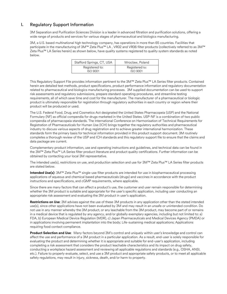# <span id="page-2-0"></span>I. Regulatory Support Information

3M Separation and Purification Sciences Division is a leader in advanced filtration and purification solutions, offering a wide range of products and services for various stages of pharmaceutical and biologics manufacturing.

3M, a U.S. based multinational high technology company, has operations in more than 65 countries. Facilities that participate in the manufacturing of 3M™ Zeta Plus™ LA, VR02 and VR06 filter products (collectively referred to as 3M™ Zeta Plus™ LA Series herein) as shown below, have quality systems registered to quality system standards as noted below.

| Stafford Springs, CT, USA | Wroclaw, Poland |
|---------------------------|-----------------|
| Registered to:            | Registered to:  |
| <b>ISO 9001</b>           | <b>ISO 9001</b> |

This Regulatory Support File provides information pertinent to the 3M™ Zeta Plus™ LA Series filter products. Contained herein are detailed test methods, product specifications, product performance information and regulatory documentation related to pharmaceutical and biologics manufacturing processes. 3M supplied documentation can be used to support risk assessments and regulatory submissions, prepare standard operating procedures, and streamline testing requirements, all of which save time and cost for the manufacturer. The manufacturer of a pharmaceutical or biologic product is ultimately responsible for registration through regulatory authorities in each country or region where their product will be produced or used.

The U.S. Federal Food, Drug, and Cosmetics Act designated the United States Pharmacopeia (USP) and the National Formulary (NF) as official compendia for drugs marketed in the United States. USP-NF is a combination of two public compendia of pharmacopeia standards. The International Conference on Harmonisation of Technical Requirements for Registration of Pharmaceuticals for Human Use (ICH) brings together the regulatory authorities and pharmaceutical industry to discuss various aspects of drug registration and to achieve greater international harmonization. These standards form the primary basis for technical information provided in this product support document. 3M routinely completes a thorough review of the USP and ICH standards and this regulatory support file to ensure that the claims and data package are current.

Complementary product information, use and operating instructions and guidelines, and technical data can be found in the 3M™ Zeta Plus™ LA Series filter product literature and product quality certifications. Further information can be obtained by contacting your local 3M representative.

The intended use(s), restrictions on use, and production selection and use for 3M™ Zeta Plus™ LA Series filter products are stated below.

**Intended Use(s)**: 3M™ Zeta Plus™ single-use filter products are intended for use in biopharmaceutical processing applications of aqueous and chemical based pharmaceuticals (drugs) and vaccines in accordance with the product instructions and specifications, and cGMP requirements, where applicable.

Since there are many factors that can affect a product's use, the customer and user remain responsible for determining whether the 3M product is suitable and appropriate for the user's specific application, including user conducting an appropriate risk assessment and evaluating the 3M product in user's application.

**Restrictions on Use**: 3M advises against the use of these 3M products in any application other than the stated intended use(s), since other applications have not been evaluated by 3M and may result in an unsafe or unintended condition. Do not use in any manner whereby the 3M product, or any leachable from the 3M product, may become part of or remains in a medical device that is regulated by any agency, and/or globally exemplary agencies, including but not limited to: a) FDA, b) European Medical Device Regulation (MDR), c) Japan Pharmaceuticals and Medical Devices Agency (PMDA) or in applications involving permanent implantation into the body; Life-sustaining medical applications; Applications requiring food contact compliance.

**Product Selection and Use**: Many factors beyond 3M's control and uniquely within user's knowledge and control can affect the use and performance of a 3M product in a particular application. As a result, end-user is solely responsible for evaluating the product and determining whether it is appropriate and suitable for end-user's application, including completing a risk assessment that considers the product leachable characteristics and its impact on drug safety, conducting a workplace hazard assessment and reviewing all applicable regulations and standards (e.g., OSHA, ANSI, etc.). Failure to properly evaluate, select, and use a 3M product and appropriate safety products, or to meet all applicable safety regulations, may result in injury, sickness, death, and/or harm to property.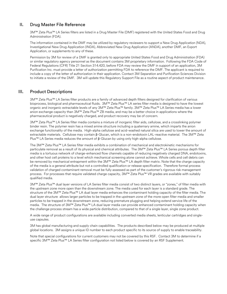# <span id="page-3-0"></span>II. Drug Master File Reference

3M™ Zeta Plus™ LA Series filters are listed in a Drug Master File (DMF) registered with the United States Food and Drug Administration (FDA).

The information contained in the DMF may be utilized by regulatory reviewers to support a New Drug Application (NDA), Investigational New Drug Application (INDA), Abbreviated New Drug Application (ANDA), another DMF, an Export Application, or supplements to any of these.

Permission by 3M for review of a DMF is granted only to appropriate United States Food and Drug Administration (FDA) or similar regulatory agency personnel as the document contains 3M proprietary information. Following the FDA Code of Federal Regulations (CFR) Title 21 Section 314.420, before FDA may review the DMF in support of an application, 3M Purification Inc. must provide a letter of authorization permitting FDA to reference the DMF. The applicant is required to include a copy of the letter of authorization in their application. Contact 3M Separation and Purification Sciences Division to initiate a review of the DMF. 3M will update this Regulatory Support File as a routine aspect of product maintenance.

# <span id="page-3-1"></span>III. Product Descriptions

3M™ Zeta Plus™ LA Series filter products are a family of advanced depth filters designed for clarification of various bioprocess, biological and pharmaceutical fluids. 3M™ Zeta Plus™ LA series filter media is designed to have the lowest organic and inorganic extractable levels of any 3M™ Zeta Plus™ family. 3M™ Zeta Plus™ LA Series media has a lower anion exchange capacity than 3M™ Zeta Plus™ ZB media, and may be a better choice in applications where the pharmaceutical product is negatively charged, and product recovery may be of concern.

3M™ Zeta Plus™ LA Series filter media contains a mixture of inorganic filter aids, cellulose, and a crosslinking polymer binder resin. The polymer resin has a mixed amine structure including a quaternary amine, which imparts the anion exchange functionality of the media. High-alpha cellulose and acid-washed natural silica are used to lower the amount of extractable materials. Cellulose may contain β-Glucan, which is a non-endotoxin LAL-reactive material. The 3M™ Zeta Plus™ LA Series media reduces the amount of  $β$ -Glucan by using only high-alpha cellulose.

The 3M™ Zeta Plus™ LA Series filter media exhibits a combination of mechanical and electrokinetic mechanisms for particulate removal as a result of its physical and chemical attributes. The 3M™ Zeta Plus™ LA Series porous depth filter media is a tortuous network of charge-enhanced flow channels capable of reducing negatively charged DNA, endotoxins, and other host cell proteins to a level which mechanical screening alone cannot achieve. Whole cells and cell debris can be removed by mechanical entrapment within the 3M™ Zeta Plus™ LA depth filter matrix. Note that the charge capacity of the media is a general attribute but not a controlled qualification or release specification. Therefore formal process validation of charged contaminant removal must be fully assessed as part of the customer's rigorous risk management process. For processes that require validated charge capacity, 3M™ Zeta Plus™ VR grades are available with suitably qualified media.

3M™ Zeta Plus™ dual layer versions of LA Series filter media consist of two distinct layers, or "zones," of filter media with the upstream zone more open than the downstream zone. The media used for each layer is a standard grade. The structure of the 3M™ Zeta Plus™ LA dual layer media enhances the contaminant holding capacity of the filter media. The dual layer structure allows larger particles to be trapped in the upstream zone of the more open filter media and smaller particles to be trapped in the downstream zone, reducing premature plugging and helping extend service life of the media. The structure of 3M™ Zeta Plus™ LA dual layer media can provide enhanced contaminant holding capacity when the challenge process stream has a wide particle distribution, compared to that of a single layer, single zone product.

A wide range of product configurations are available including converted media sheets, lenticular cartridges and singleuse capsules.

3M has global manufacturing and supply chain capabilities. The products described below may be produced at multiple global locations. 3M assigns a unique ID number to each product specific to its source of supply to enable traceability.

Note that special configurations for current customers may not be covered by this RSF. Contact 3M to determine if a specific 3M™ Zeta Plus™ LA Series filter configuration not listed below is covered by an RSF Supplement.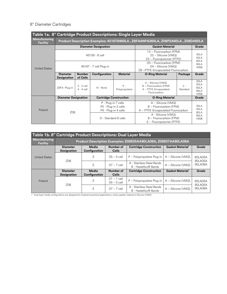# <span id="page-4-0"></span>8" Diameter Cartridges

| Table 1a. 8" Cartridge Product Descriptions: Single Layer Media |                                       |                                                                                 |                                                                                             |                                                              |                                                                                                                                                                    |                   |                                                         |  |  |  |
|-----------------------------------------------------------------|---------------------------------------|---------------------------------------------------------------------------------|---------------------------------------------------------------------------------------------|--------------------------------------------------------------|--------------------------------------------------------------------------------------------------------------------------------------------------------------------|-------------------|---------------------------------------------------------|--|--|--|
| Manufacturing<br><b>Facility</b>                                |                                       | Product Description Examples: 451670460LA, Z8FA4NPA260LA, Z08P2A60LA, Z08DA60LA |                                                                                             |                                                              |                                                                                                                                                                    |                   |                                                         |  |  |  |
|                                                                 |                                       |                                                                                 | <b>Diameter Designation</b>                                                                 |                                                              | <b>Gasket Material</b>                                                                                                                                             | Grade             |                                                         |  |  |  |
|                                                                 | 45109 - 8 cell                        |                                                                                 |                                                                                             |                                                              | 13 - Fluorocarbon (FPM)<br>22 - Silicone (VMQ)<br>23 - Fluoropolymer (PTFE)                                                                                        |                   | 30LA<br><b>50LA</b>                                     |  |  |  |
|                                                                 |                                       |                                                                                 |                                                                                             |                                                              | 03 - Fluorocarbon (FPM)                                                                                                                                            |                   | 60LA<br>90LA                                            |  |  |  |
| <b>United States</b>                                            | 45167 - 7 cell Plug-in                |                                                                                 |                                                                                             | $04 - Silicone (VMQ)$<br>09 - PTFE-Encapsulated Fluorocarbon |                                                                                                                                                                    | <b>VR06</b>       |                                                         |  |  |  |
|                                                                 | <b>Diameter</b><br><b>Designation</b> | <b>Number</b><br>of Cells                                                       | Configuration                                                                               | <b>Material</b>                                              | <b>O-Ring Material</b>                                                                                                                                             | Package           | Grade                                                   |  |  |  |
|                                                                 | Z8FA -Plug-in                         | $2 - 2$ cell<br>$4 - 4$ cell                                                    | N - None                                                                                    | $P -$<br>Polypropylene                                       | A - Silicone (VMQ)<br>B - Fluorocarbon (FPM)<br>K - PTFE-Encapsulated<br>Fluorocarbon                                                                              | $2 -$<br>Standard | 30LA<br><b>50LA</b><br>60LA<br>90LA<br><b>VR06</b>      |  |  |  |
|                                                                 | <b>Diameter Designation</b><br>708    |                                                                                 | <b>Cartridge Construction</b>                                                               |                                                              | <b>O-Ring Material</b>                                                                                                                                             |                   | Grade                                                   |  |  |  |
| Poland                                                          |                                       |                                                                                 | P - Plug-in 7 cells<br>P2 - Plug-in 2 cells<br>P4 - Plug-in 4 cells<br>D - Standard 8 cells |                                                              | $A - Silicone (VMQ)$<br>B - Fluorocarbon (FPM)<br>K - PTFE-Encapsulated Fluorocarbon<br>A - Silicone (VMQ)<br>B - Fluorocarbon (FPM)<br>$E$ – Fluoropolymer (PTFE) |                   | 30LA<br><b>50LA</b><br>60LA<br>90LA<br>VR <sub>06</sub> |  |  |  |

| Table 1b. 8" Cartridge Product Descriptions: Dual Layer Media |                                       |                                                                |                                |                                                   |                        |                     |  |  |  |
|---------------------------------------------------------------|---------------------------------------|----------------------------------------------------------------|--------------------------------|---------------------------------------------------|------------------------|---------------------|--|--|--|
| <b>Manufacturing</b><br><b>Facility</b>                       |                                       | Product Description Examples: Z08E05AA90LA08A, Z08E07AA90LA08A |                                |                                                   |                        |                     |  |  |  |
|                                                               | <b>Diameter</b><br><b>Designation</b> | Media<br>Configuration                                         | Number of<br><b>Cells</b>      | <b>Cartridge Construction</b>                     | <b>Gasket Material</b> | Grade               |  |  |  |
| <b>United States</b>                                          |                                       | F                                                              | $05 - 5$ cell                  | P - Polypropylene Plug-in                         | $A - Silicone (VMQ)$   | 60I A05A            |  |  |  |
|                                                               | 708                                   | E                                                              | $07 - 7$ cell                  | A - Stainless Steel Bands<br>B - Hastelloy® Bands | $A - Silicone (VMQ)$   | 90LA05A<br>901 A08A |  |  |  |
|                                                               | <b>Diameter</b><br><b>Designation</b> | Media<br>Configuration                                         | Number of<br><b>Cells</b>      | <b>Cartridge Construction</b>                     | <b>Gasket Material</b> | Grade               |  |  |  |
| Poland                                                        | 708                                   | E                                                              | $01 - 1$ cell<br>$05 - 5$ cell | P - Polypropylene Plug-in                         | $A - Silicone (VMQ)$   | 60LA05A             |  |  |  |
|                                                               |                                       | Е                                                              | $07 - 7$ cell                  | A - Stainless Steel Bands<br>B - Hastelloy® Bands | $A - Silicone (VMQ)$   | 90LA05A<br>901 A08A |  |  |  |

1 Dual layer media configurations are designed for biopharmaceutical applications, where gasket material is Silicone (VMQ)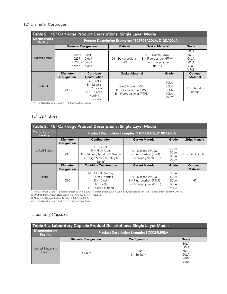# 12" Diameter Cartridges

| Table 2. 12" Cartridge Product Descriptions: Single Layer Media |                                                                         |                                                                                                  |                                                                              |                                                                                 |                                                |                                                                           |                                      |
|-----------------------------------------------------------------|-------------------------------------------------------------------------|--------------------------------------------------------------------------------------------------|------------------------------------------------------------------------------|---------------------------------------------------------------------------------|------------------------------------------------|---------------------------------------------------------------------------|--------------------------------------|
| Manufacturing<br><b>Facility</b>                                | Product Description Examples: 4523701A30LA, Z12DA90LA                   |                                                                                                  |                                                                              |                                                                                 |                                                |                                                                           |                                      |
|                                                                 |                                                                         | <b>Diameter Designation</b>                                                                      | <b>Material</b>                                                              |                                                                                 | <b>Gasket Material</b>                         |                                                                           | Grade                                |
| <b>United States</b>                                            | 45244 - 9 cell<br>45237 - 12 cell<br>45230 - 15 cell<br>45245 - 16 cell |                                                                                                  | 01 - Polypropylene<br>(PP)                                                   | $A - Silicone (VMQ)$<br>B - Fluorocarbon (FPM)<br>$E - Fluoropolymer$<br>(PTFE) |                                                | $30I$ A<br>50I A<br>60LA<br>901 A<br>VR <sub>02</sub><br>VR <sub>06</sub> |                                      |
|                                                                 | <b>Diameter</b><br><b>Designation</b>                                   | Cartridge<br>Construction                                                                        | <b>Gasket Material</b><br>Grade                                              |                                                                                 |                                                | Optional<br><b>Material</b>                                               |                                      |
| Poland                                                          | 712                                                                     | $C - 9$ cells<br>$B - 12$ cells<br>$D - 16$ cells<br>$M - 15$ cells,<br>Netting<br>$S - 7$ cells | $A - Silicone (VMQ)$<br>B - Fluorocarbon (FPM)<br>$E -$ Fluoropolymer (PTFE) |                                                                                 | 30LA<br>50I A<br>60I A<br>901 A<br><b>VR02</b> |                                                                           | $H^1$<br>- Hastellov<br><b>Bands</b> |

<span id="page-5-0"></span>1 "H" for Hastelloy bands. Omit "H" for Stainless Steel Bands.

# 16" Cartridges

| Table 3. 16" Cartridge Product Descriptions: Single Layer Media |                                                    |                                                                                                                       |                                                                              |                                                |                       |  |  |
|-----------------------------------------------------------------|----------------------------------------------------|-----------------------------------------------------------------------------------------------------------------------|------------------------------------------------------------------------------|------------------------------------------------|-----------------------|--|--|
| <b>Manufacturing</b><br><b>Facility</b>                         | Product Description Examples: Z16PA90LA, Z16DA90LA |                                                                                                                       |                                                                              |                                                |                       |  |  |
|                                                                 | <b>Diameter</b><br><b>Designation</b>              | Configuration                                                                                                         | <b>Gasket Material</b>                                                       | Grade                                          | <b>Lifting Handle</b> |  |  |
| United States                                                   | 716                                                | $P - 14$ cell<br>$H - High Area1$<br>$R - 14$ cell (Hastelloy® Bands)<br>T - High Area (Hastelloy®<br>Bands)          | $A - Silicone (VMQ)$<br>B - Fluorocarbon (FPM)<br>$E$ – Fluoropolymer (PTFE) | 30LA<br>50I A<br>60LA<br>901 A                 | $H - with Handle2$    |  |  |
|                                                                 | <b>Diameter</b>                                    | <b>Cartridge Construction</b>                                                                                         | <b>Gasket Material</b>                                                       | Grade                                          | Optional              |  |  |
|                                                                 | <b>Designation</b>                                 |                                                                                                                       |                                                                              |                                                | <b>Material</b>       |  |  |
| Poland                                                          | 716                                                | M - 14 cell, Netting<br>P - 14 cell, Netting<br>$D - 15$ cell<br>$S - 9$ cell<br>$H - 17$ cell <sup>3</sup> , Netting | $A - Silicone (VMQ)$<br>B - Fluorocarbon (FPM)<br>$E$ – Fluoropolymer (PTFE) | 30LA<br>50I A<br>60I A<br>901 A<br><b>VR02</b> | H <sup>4</sup>        |  |  |

1 High Area Cell Count – 16 cells for grades 30LA & 50LA; 17 cells for grades 60LA & 90LA. Bodyfeed cartridge available, please order 45802 (16", 9 cell).

2 Omit "H" from product description if film lifting handle is not required.

3 16 cells for 30LA and 50LA, 17 cells for 60LA and 90LA.

<span id="page-5-1"></span>4 "H" for Hastelloy bands. Omit "H" for Stainless Steel Bands.

# Laboratory Capsules

| Table 4a. Laboratory Capsule Product Descriptions: Single Layer Media |                             |                                                 |                  |  |  |  |  |
|-----------------------------------------------------------------------|-----------------------------|-------------------------------------------------|------------------|--|--|--|--|
| Manufacturing<br><b>Facility</b>                                      |                             | <b>Product Description Example: BC0025L90LA</b> |                  |  |  |  |  |
|                                                                       | <b>Diameter Designation</b> | Configuration                                   | Grade            |  |  |  |  |
|                                                                       | BC0025                      |                                                 | 30LA             |  |  |  |  |
| United States and                                                     |                             |                                                 | 50I A            |  |  |  |  |
| Poland                                                                |                             | $l - l$ uer                                     | 60LA             |  |  |  |  |
|                                                                       |                             | S - Sanitary                                    | 901 A            |  |  |  |  |
|                                                                       |                             |                                                 | VR <sub>02</sub> |  |  |  |  |
|                                                                       |                             |                                                 | VR <sub>06</sub> |  |  |  |  |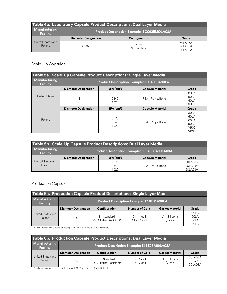| Table 4b. Laboratory Capsule Product Descriptions: Dual Layer Media |                                             |                            |                               |  |  |  |
|---------------------------------------------------------------------|---------------------------------------------|----------------------------|-------------------------------|--|--|--|
| Manufacturing<br><b>Facility</b>                                    | Product Description Example: BC0025L90LA08A |                            |                               |  |  |  |
|                                                                     | <b>Diameter Designation</b>                 | Configuration              | Grade                         |  |  |  |
| United States and<br>Poland                                         | BC0025                                      | $L$ - Luer<br>S - Sanitary | 60LA05A<br>90LA05A<br>90LA08A |  |  |  |

# <span id="page-6-0"></span>Scale-Up Capsules

| Table 5a. Scale-Up Capsule Product Descriptions: Single Layer Media |                                                  |                          |                         |                                                                    |  |  |
|---------------------------------------------------------------------|--------------------------------------------------|--------------------------|-------------------------|--------------------------------------------------------------------|--|--|
| <b>Manufacturing</b><br><b>Facility</b>                             | <b>Product Description Example: E0340FSA90LA</b> |                          |                         |                                                                    |  |  |
|                                                                     | <b>Diameter Designation</b>                      | $EFA$ (cm <sup>2</sup> ) | <b>Capsule Material</b> | Grade                                                              |  |  |
| United States                                                       | E                                                | 0170<br>0340<br>1020     | FSA - Polysulfone       | 30LA<br>50I A<br>60I A<br>90LA                                     |  |  |
|                                                                     | <b>Diameter Designation</b>                      | $EFA$ (cm <sup>2</sup> ) | <b>Capsule Material</b> | Grade                                                              |  |  |
| Poland                                                              | Ε                                                | 0170<br>0340<br>1020     | FSA - Polysulfone       | 30LA<br>50I A<br>60I A<br>901 A<br>VR <sub>02</sub><br><b>VR06</b> |  |  |

| Table 5b. Scale-Up Capsule Product Descriptions: Dual Layer Media |                                              |                          |                         |          |  |  |
|-------------------------------------------------------------------|----------------------------------------------|--------------------------|-------------------------|----------|--|--|
| Manufacturing<br><b>Facility</b>                                  | Product Description Example: E0340FSA90LA08A |                          |                         |          |  |  |
|                                                                   | <b>Diameter Designation</b>                  | $EFA$ (cm <sup>2</sup> ) | <b>Capsule Material</b> | Grade    |  |  |
| United States and                                                 |                                              | 0170                     |                         | 601 A05A |  |  |
| Poland                                                            |                                              | 0340                     | FSA - Polysulfone       | 901 A05A |  |  |
|                                                                   |                                              | 1020                     |                         | 901 A08A |  |  |

# <span id="page-6-1"></span>Production Capsules

| Table 6a. Production Capsule Product Descriptions: Single Layer Media |                                                 |                                                     |                                 |                         |                                      |  |  |
|-----------------------------------------------------------------------|-------------------------------------------------|-----------------------------------------------------|---------------------------------|-------------------------|--------------------------------------|--|--|
| Manufacturing<br><b>Facility</b>                                      | <b>Product Description Example: E16E01A90LA</b> |                                                     |                                 |                         |                                      |  |  |
|                                                                       | <b>Diameter Designation</b>                     | Configuration                                       | <b>Number of Cells</b>          | <b>Gasket Material</b>  | Grade                                |  |  |
| United States and<br>Poland                                           | F <sub>16</sub>                                 | E - Standard<br>R - Alkaline Resistant <sup>1</sup> | $01 - 1$ cell<br>$11 - 11$ cell | $A - Silicone$<br>(VMQ) | $30I$ A<br>50I A<br>601 A<br>$90I$ A |  |  |

1 Alkaline resistance is based on testing with 1M NaOH and 5% NaClO (Bleach).

| Table 6b. Production Capsule Product Descriptions: Dual Layer Media |                                                    |                                                     |                                |                         |                                |  |  |
|---------------------------------------------------------------------|----------------------------------------------------|-----------------------------------------------------|--------------------------------|-------------------------|--------------------------------|--|--|
| Manufacturing<br><b>Facility</b>                                    | <b>Product Description Example: E16E07A90LA08A</b> |                                                     |                                |                         |                                |  |  |
|                                                                     | <b>Diameter Designation</b>                        | Configuration                                       | <b>Number of Cells</b>         | <b>Gasket Material</b>  | Grade                          |  |  |
| United States and<br>Poland                                         | F <sub>16</sub>                                    | E - Standard<br>R - Alkaline Resistant <sup>1</sup> | $01 - 1$ cell<br>$07 - 7$ cell | $A - Silicone$<br>(VMQ) | 60LA05A<br>901 A05A<br>90LA08A |  |  |

1 Alkaline resistance is based on testing with 1M NaOH and 5% NaClO (Bleach).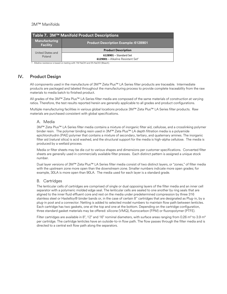#### <span id="page-7-0"></span>3M™ Manifolds

| Table 7. 3M™ Manifold Product Descriptions                                      |                                                                           |  |  |
|---------------------------------------------------------------------------------|---------------------------------------------------------------------------|--|--|
| Manufacturing<br><b>Product Description Example: 6128901</b><br><b>Facility</b> |                                                                           |  |  |
|                                                                                 | <b>Product Description</b>                                                |  |  |
| United States and<br>Poland                                                     | $6128901 - Standard Set$<br>6129001 - Alkaline Resistant Set <sup>1</sup> |  |  |

1 Alkaline resistance is based on testing with 1M NaOH and 5% NaClO (Bleach).

# <span id="page-7-1"></span>IV. Product Design

All components used in the manufacture of 3M™ Zeta Plus™ LA Series filter products are traceable. Intermediate products are packaged and labeled throughout the manufacturing process to provide complete traceability from the raw materials to media batch to finished product.

All grades of the 3M™ Zeta Plus™ LA Series filter media are composed of the same materials of construction at varying ratios. Therefore, the test results reported herein are generally applicable to all grades and product configurations.

<span id="page-7-2"></span>Multiple manufacturing facilities in various global locations produce 3M™ Zeta Plus™ LA Series filter products. Raw materials are purchased consistent with global specifications.

#### A. Media

3M™ Zeta Plus™ LA Series filter media contains a mixture of inorganic filter aid, cellulose, and a crosslinking polymer binder resin. The polymer binding resin used in 3M™ Zeta Plus™ LA depth filtration media is a polyamide epichlorohydrin (PAE) polymer that contains a mixture of secondary, tertiary, and quaternary amines. The inorganic filter aid (natural silica) is acid washed, and the structural support for the media is high-alpha cellulose. The media is produced by a wetlaid process.

Media or filter sheets may be die cut to various shapes and dimensions per customer specifications. Converted filter sheets are generally used in commercially available filter presses. Each distinct pattern is assigned a unique stock number.

Dual layer versions of 3M™ Zeta Plus™ LA Series filter media consist of two distinct layers, or "zones," of filter media with the upstream zone more open than the downstream zone. Smaller numbers indicate more open grades; for example, 30LA is more open than 90LA. The media used for each layer is a standard grade.

#### <span id="page-7-3"></span>B. Cartridges

The lenticular cells of cartridges are comprised of single or dual opposing layers of the filter media and an inner cell separator with a polymeric molded edge seal. The lenticular cells are sealed to one another by ring seals that are aligned to the inner fluid effluent core and rest on the media under predetermined compression by three 316 stainless steel or Hastelloy® binder bands or, in the case of certain 8'' cartridges that are designated as Plug-in, by a plug-in post and a connector. Netting is added to selected model numbers to maintain flow path between lenticles. Each cartridge has two gaskets, one at the top and one at the bottom. Depending on the cartridge configuration, three standard gasket materials may be offered: silicone (VMQ), fluorocarbon (FPM) or fluoropolymer (PTFE).

Filter cartridges are available in 8", 12" and 16" nominal diameters, with surface areas ranging from 0.26 m<sup>2</sup> to 3.9 m<sup>2</sup> per cartridge. The cartridge lenticles have an outside-to-in flow path. The flow passes through the filter media and is directed to a central exit flow path along the separators.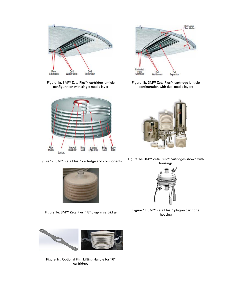

Figure 1a. 3M™ Zeta Plus™ cartridge lenticle configuration with single media layer







Figure 1g. Optional Film Lifting Handle for 16" cartridges



Figure 1b. 3M™ Zeta Plus™ cartridge lenticle configuration with dual media layers



Figure 1c. 3M™ Zeta Plus™ cartridge and components Figure 1d. 3M™ Zeta Plus™ cartridges shown with housings



Figure 1e. 3M™ Zeta Plus™ 8" plug-in cartridge Figure 1f. 3M™ Zeta Plus™ plug-in cartridge housing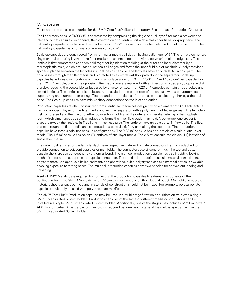#### <span id="page-9-0"></span>C. Capsules

There are three capsule categories for the 3M™ Zeta Plus™ filters: Laboratory, Scale-up and Production Capsules.

The Laboratory capsule (BC0025) is constructed by compressing the single or dual layer filter media between the inlet and outlet capsule components, then overmolding this entire unit with a glass fiber filled polypropylene. The Laboratory capsule is available with either luer lock or 1/2" mini sanitary matched inlet and outlet connections. The Laboratory capsule has a nominal surface area of 25 cm².

Scale-up capsules are constructed from a lenticular media cell design having a diameter of 8". The lenticle comprises single or dual opposing layers of the filter media and an inner separator with a polymeric molded edge seal. This lenticle is first compressed and then held together by injection molding at the outer and inner diameter by a thermoplastic resin, which simultaneously seals all edges and forms the inner fluid outlet manifold. A polypropylene spacer is placed between the lenticles in 3-cell design capsule. The lenticles have an outside-to-in flow path. The flow passes through the filter media and is directed to a central exit flow path along the separators. Scale-up capsules have three configurations with nominal surface areas of 170 cm², 340 cm² and 1020 cm² per capsule. For the 170 cm<sup>2</sup> lenticle, one of the opposing filter media layers is replaced with an injection molded polypropylene disk, thereby, reducing the accessible surface area by a factor of two. The 1020 cm² capsules contain three stacked and sealed lenticles. The lenticles, or lenticle stack, are sealed to the outlet side of the capsule with a polypropylene support ring and fluorocarbon o-ring. The top and bottom pieces of the capsule are sealed together by a thermal bond. The Scale-up capsules have mini sanitary connections on the inlet and outlet.

Production capsules are also constructed from a lenticular media cell design having a diameter of 16". Each lenticle has two opposing layers of the filter media and an inner separator with a polymeric molded edge seal. The lenticle is first compressed and then held together by injection molding at the outer and inner diameter by a thermoplastic resin, which simultaneously seals all edges and forms the inner fluid outlet manifold. A polypropylene spacer is placed between the lenticles in 7-cell and 11-cell capsules. The lenticles have an outside-to-in flow path. The flow passes through the filter media and is directed to a central exit flow path along the separator. The production capsules have three single-use capsule configurations. The 0.23 m<sup>2</sup> capsule has one lenticle of single or dual layer media. The 1.6 m<sup>2</sup> capsule has seven (7) lenticles of dual layer media. The 2.5 m<sup>2</sup> capsule has eleven (11) lenticles of single layer media.

The outermost lenticles of the lenticle stack have respective male and female connectors thermally attached to provide connection to adjacent capsules or manifolds. The connectors use silicone o-rings. The top and bottom capsule shells are sealed together by a thermal bond. The multicell production capsule has a self-guiding locking mechanism for a robust capsule-to-capsule connection. The standard production capsule material is translucent polycarbonate. An opaque, alkaline-resistant, polyphenylene/oxide polystyrene capsule material option is available, enabling exposure to strong bases. The multicell production capsules have two handles for convenient loading and unloading.

A set of 3M™ Manifolds is required for connecting the production capsules to external components of the purification train. The 3M™ Manifolds have 1.5" sanitary connections on the inlet and outlet. Manifold and capsule materials should always be the same; materials of construction should not be mixed. For example, polycarbonate capsules should only be used with polycarbonate manifolds.

The 3M™ Zeta Plus™ Production capsules may be used in a multi-stage filtration or purification train with a single 3M™ Encapsulated System holder. Production capsules of the same or different media configurations can be installed in a single 3M™ Encapsulated System holder. Additionally, one of the stages may include 3M™ Emphaze™ AEX Hybrid Purifier. An extra pair of manifolds is required between each stage of the multi-stage train within the 3M™ Encapsulated System holder.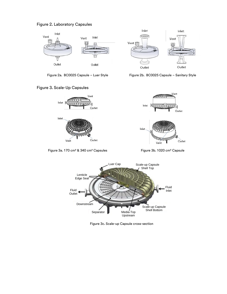







Figure 2a. BC0025 Capsule – Luer Style Figure 2b. BC0025 Capsule – Sanitary Style



Figure 3a. 170 cm<sup>2</sup> & 340 cm<sup>2</sup> Capsules Figure 3b. 1020 cm<sup>2</sup> Capsule



Figure 3c. Scale-up Capsule cross-section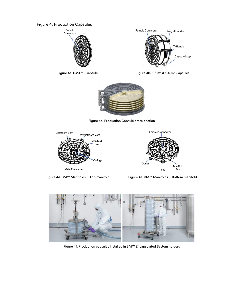# Figure 4. Production Capsules





Figure 4a. 0.23 m² CapsuleFigure 4b. 1.6 m² & 2.5 m² Capsules



Figure 4c. Production Capsule cross-section





Figure 4d. 3M™ Manifolds - Top manifold Figure 4e. 3M™ Manifolds - Bottom manifold



Figure 4f. Production capsules installed in 3M™ Encapsulated System holders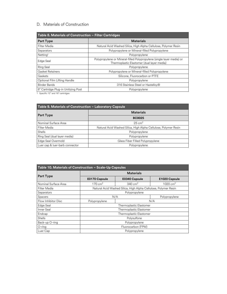#### <span id="page-12-0"></span>D. Materials of Construction

| Table 8. Materials of Construction - Filter Cartridges |                                                                                                                     |  |  |
|--------------------------------------------------------|---------------------------------------------------------------------------------------------------------------------|--|--|
| <b>Part Type</b>                                       | <b>Materials</b>                                                                                                    |  |  |
| Filter Media                                           | Natural Acid Washed Silica, High Alpha Cellulose, Polymer Resin                                                     |  |  |
| Separators                                             | Polypropylene or Mineral-filled Polypropylene                                                                       |  |  |
| Netting <sup>1</sup>                                   | Polypropylene                                                                                                       |  |  |
| Edge Seal                                              | Polypropylene or Mineral-filled Polypropylene (single layer media) or<br>Thermoplastic Elastomer (dual layer media) |  |  |
| Ring Seal                                              | Polypropylene                                                                                                       |  |  |
| <b>Gasket Retainers</b>                                | Polypropylene or Mineral-filled Polypropylene                                                                       |  |  |
| Gaskets                                                | Silicone, Fluorocarbon or PTFE                                                                                      |  |  |
| Optional Film Lifting Handle                           | Polypropylene                                                                                                       |  |  |
| <b>Binder Bands</b>                                    | 316 Stainless Steel or Hastelloy®                                                                                   |  |  |
| 8" Cartridge Plug-in Unitizing Post                    | Polypropylene                                                                                                       |  |  |

1 Specific 12" and 16" cartridges

| Table 9. Materials of Construction - Laboratory Capsule |                                                                 |  |  |
|---------------------------------------------------------|-----------------------------------------------------------------|--|--|
|                                                         | <b>Materials</b>                                                |  |  |
| <b>Part Type</b>                                        | <b>BC0025</b>                                                   |  |  |
| Nominal Surface Area                                    | $25 \text{ cm}^2$                                               |  |  |
| Filter Media                                            | Natural Acid Washed Silica, High Alpha Cellulose, Polymer Resin |  |  |
| Shells                                                  | Polypropylene                                                   |  |  |
| Ring Seal (dual layer media)                            | Polypropylene                                                   |  |  |
| Edge Seal Overmold                                      | Glass Fiber Filled Polypropylene                                |  |  |
| Luer cap & luer-barb connector                          | Polypropylene                                                   |  |  |

| Table 10. Materials of Construction - Scale-Up Capsules |                         |                                                                 |                      |  |
|---------------------------------------------------------|-------------------------|-----------------------------------------------------------------|----------------------|--|
|                                                         | <b>Materials</b>        |                                                                 |                      |  |
| <b>Part Type</b>                                        | E0170 Capsule           | <b>E0340 Capsule</b>                                            | E1020 Capsule        |  |
| Nominal Surface Area                                    | 170 $cm2$               | $340 \text{ cm}^2$                                              | 1020 cm <sup>2</sup> |  |
| Filter Media                                            |                         | Natural Acid Washed Silica, High Alpha Cellulose, Polymer Resin |                      |  |
| Separators                                              | Polypropylene           |                                                                 |                      |  |
| Spacers                                                 | N/A<br>Polypropylene    |                                                                 |                      |  |
| Flow Inhibitor Disc                                     | N/A<br>Polypropylene    |                                                                 |                      |  |
| Edge Seal                                               | Thermoplastic Elastomer |                                                                 |                      |  |
| Inner Seal                                              | Thermoplastic Elastomer |                                                                 |                      |  |
| Endcap                                                  | Thermoplastic Elastomer |                                                                 |                      |  |
| Shells                                                  | Polysulfone             |                                                                 |                      |  |
| Back-up O-ring                                          | Polypropylene           |                                                                 |                      |  |
| $O$ -ring                                               | Fluorocarbon (FPM)      |                                                                 |                      |  |
| Luer Cap                                                | Polypropylene           |                                                                 |                      |  |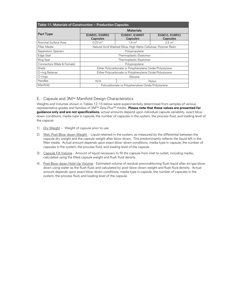| Table 11. Materials of Construction - Production Capsules |                                                                 |                                   |                                   |  |
|-----------------------------------------------------------|-----------------------------------------------------------------|-----------------------------------|-----------------------------------|--|
|                                                           | <b>Materials</b>                                                |                                   |                                   |  |
| <b>Part Type</b>                                          | E16E01, E16R01<br><b>Capsules</b>                               | E16E07, E16R07<br><b>Capsules</b> | E16E11, E16R11<br><b>Capsules</b> |  |
| Nominal Surface Area                                      | $0.23 \text{ m}^2$                                              | $1.6 \text{ m}^2$                 | $2.5 \text{ m}^2$                 |  |
| Filter Media                                              | Natural Acid Washed Silica, High Alpha Cellulose, Polymer Resin |                                   |                                   |  |
| Separators, Spacers                                       | Polypropylene                                                   |                                   |                                   |  |
| Edge Seal                                                 | Thermoplastic Elastomer                                         |                                   |                                   |  |
| Ring Seal                                                 | Thermoplastic Elastomer                                         |                                   |                                   |  |
| Connectors (Male & Female)                                | Polypropylene                                                   |                                   |                                   |  |
| Shells                                                    | Either Polycarbonate or Polyphenylene Oxide/Polystyrene         |                                   |                                   |  |
| O-ring Retainer                                           | Either Polycarbonate or Polyphenylene Oxide/Polystyrene         |                                   |                                   |  |
| $O$ -rings                                                | Silicone                                                        |                                   |                                   |  |
| Handles                                                   | N/A<br>Nylon                                                    |                                   |                                   |  |
| Manifold                                                  | Polycarbonate or Polyphenylene Oxide/Polystyrene                |                                   |                                   |  |

#### <span id="page-13-0"></span>E. Capsule and 3M™ Manifold Design Characteristics

Weights and Volumes shown in Tables 12-15 below were experimentally determined from samples of various representative grades and families of 3M™ Zeta Plus™ media. **Please note that these values are presented for guidance only and are not specifications**; actual amounts depend upon individual capsule variability, exact blowdown conditions, media type in capsule, the number of capsules in the system, the process fluid, and loading level of the capsule.

- 1) Dry Weight Weight of capsule prior to use.
- 2) Wet, Post Blow-down Weight Liquid retained in the system, as measured by the differential between the capsule dry weight and the capsule weight after blow-down. This predominantly reflects the liquid left in the filter media. Actual amount depends upon exact blow-down conditions, media type in capsule, the number of capsules in the system, the process fluid, and loading level of the capsule.
- 3) Capsule Fill Volume Amount of liquid necessary to fill the capsule from inlet to outlet, including media, calculated using the filled capsule weight and flush fluid density.
- 4) Post Blow-down Hold-Up Volume Estimated volume of residual preconditioning flush liquid after air/gas blowdown using water as the flush fluid, and calculated by post-blow-down weight and flush fluid density. Actual amount depends upon exact blow-down conditions, media type in capsule, the number of capsules in the system, the process fluid, and loading level of the capsule.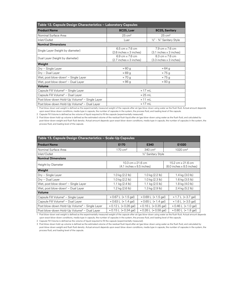| Table 12. Capsule Design Characteristics - Laboratory Capsules |                                                                   |                                            |  |  |
|----------------------------------------------------------------|-------------------------------------------------------------------|--------------------------------------------|--|--|
| <b>Product Name</b>                                            | BC25, Luer                                                        | <b>BC25, Sanitary</b>                      |  |  |
| Nominal Surface Area                                           | $25 \text{ cm}^2$                                                 | $25 \text{ cm}^2$                          |  |  |
| Inlet/Outlet                                                   | Luer                                                              | 1/2" - 3/4" Sanitary Style                 |  |  |
| <b>Nominal Dimensions</b>                                      |                                                                   |                                            |  |  |
| Single Layer (height by diameter)                              | $6.5 \text{ cm} \times 7.6 \text{ cm}$<br>(2.6 inches x 3 inches) | 7.9 cm x 7.6 cm<br>(3.1 inches x 3 inches) |  |  |
| Dual Layer (height by diameter)                                | 6.9 cm x 7.6 cm<br>(2.7 inches x 3 inches)                        | 8.3 cm x 7.6 cm<br>(3.3 inches x 3 inches) |  |  |
| Weight                                                         |                                                                   |                                            |  |  |
| Dry – Single Layer                                             | $\approx 60$ g                                                    | $\approx 64$ g                             |  |  |
| Dry - Dual Layer                                               | $\approx 69$ g                                                    | $\approx 75$ g                             |  |  |
| Wet, post blow-down <sup>1</sup> - Single Layer                | $\approx 70$ g                                                    | $\approx 75$ g                             |  |  |
| Wet, post blow-down <sup>1</sup> - Dual Layer                  | $\approx 86$ g                                                    | $\approx 93$ g                             |  |  |
| Volume                                                         |                                                                   |                                            |  |  |
| Capsule Fill Volume <sup>2</sup> - Single Layer                | $\approx$ 17 mL                                                   |                                            |  |  |
| Capsule Fill Volume <sup>2</sup> - Dual Layer                  | $\approx$ 25 mL                                                   |                                            |  |  |
| Post blow-down Hold-Up Volume <sup>3</sup> – Single Layer      | $\approx$ 11 mL                                                   |                                            |  |  |
| Post blow-down Hold-Up Volume <sup>3</sup> - Dual Layer        | $\approx$ 17 mL                                                   |                                            |  |  |

1 Post blow-down wet weight is defined as the experimentally measured weight of the capsule after air/gas blow-down using water as the flush fluid. Actual amount depends upon exact blow-down conditions, media type in capsule, the number of capsules in the system, the process fluid, and loading level of the capsule.

2 Capsule Fill Volume is defined as the volume of liquid required to fill the capsule (experimentally measured).

3 Post blow-down hold-up volume is defined as the estimated volume of the residual flush liquid after air/gas blow-down using water as the flush fluid, and calculated by post-blow-down weight and flush fluid density. Actual amount depends upon exact blow-down conditions, media type in capsule, the number of capsules in the system, the process fluid, and loading level of the capsule.

| Table 13. Capsule Design Characteristics - Scale-Up Capsules |                                                |                                        |                                                |  |
|--------------------------------------------------------------|------------------------------------------------|----------------------------------------|------------------------------------------------|--|
| <b>Product Name</b>                                          | E170                                           | E340                                   | E1020                                          |  |
| Nominal Surface Area                                         | $170 \text{ cm}^2$                             | $340 \text{ cm}^2$                     | $1020 \text{ cm}^2$                            |  |
| Inlet/Outlet                                                 |                                                | 1/2" Sanitary Style                    |                                                |  |
| <b>Nominal Dimensions</b>                                    |                                                |                                        |                                                |  |
| Height by Diameter                                           | 10.3 cm x 21.6 cm<br>(4.1 inches x 8.5 inches) |                                        | 15.2 cm x 21.6 cm<br>(6.0 inches x 8.5 inches) |  |
| Weight                                                       |                                                |                                        |                                                |  |
| Dry - Single Layer                                           | 1.0 kg (2.2 lb)                                | 1.0 kg (2.2 lb)                        | 1.4 kg $(3.0 \text{ lb})$                      |  |
| Dry - Dual Layer                                             | 1.0 kg (2.2 lb)                                | 1.0 kg (2.3 lb)                        | 1.6 kg (3.5 lb)                                |  |
| Wet, post blow-down <sup>1</sup> - Single Layer              | 1.1 kg $(2.4 \text{ lb})$                      | 1.1 kg (2.5 lb)                        | 1.8 kg $(4.0 \text{ lb})$                      |  |
| Wet, post blow-down <sup>1</sup> - Dual Layer                | 1.2 kg $(2.6 \text{ lb})$                      | 1.3 kg (2.9 lb)                        | 2.4 kg (5.2 lb)                                |  |
| Volume                                                       |                                                |                                        |                                                |  |
| Capsule Fill Volume <sup>2</sup> - Single Layer              | $\approx 0.67$ L ( $\approx 1.5$ gal)          | $\approx 0.69$ L ( $\approx 1.5$ gal)  | $\approx$ 1.7 L ( $\approx$ 3.7 gal)           |  |
| Capsule Fill Volume <sup>2</sup> - Dual Layer                | $\approx 0.63$ L ( $\approx 1.4$ gal)          | $\approx 0.65$ L ( $\approx 1.4$ gal)  | $\approx 1.6$ L ( $\approx 3.5$ gal)           |  |
| Post blow-down Hold-Up Volume <sup>3</sup> – Single Layer    | $\approx 0.12$ L ( $\approx 0.26$ gal)         | $\approx 0.16$ L ( $\approx 0.35$ gal) | $\approx 0.46$ L ( $\approx 1.0$ gal)          |  |
| Post blow-down Hold-Up Volume <sup>3</sup> - Dual Layer      | $\approx 0.15$ L ( $\approx 0.34$ gal)         | $\approx 0.26$ L ( $\approx 0.58$ gal) | $\approx 0.80$ L ( $\approx 1.8$ gal)          |  |

1 Post blow-down wet weight is defined as the experimentally measured weight of the capsule after air/gas blow-down using water as the flush fluid. Actual amount depends upon exact blow-down conditions, media type in capsule, the number of capsules in the system, the process fluid, and loading level of the capsule.

2 Capsule Fill Volume is defined as the volume of liquid required to fill the capsule (experimentally measured).

3 Post blow-down hold-up volume is defined as the estimated volume of the residual flush liquid after air/gas blow-down using water as the flush fluid, and calculated by post-blow-down weight and flush fluid density. Actual amount depends upon exact blow-down conditions, media type in capsule, the number of capsules in the system, the process fluid, and loading level of the capsule.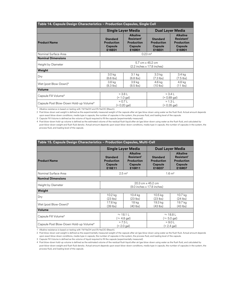| Table 14. Capsule Design Characteristics - Production Capsules, Single Cell |                                                                                    |                                                                                     |                                                           |                                                                                     |
|-----------------------------------------------------------------------------|------------------------------------------------------------------------------------|-------------------------------------------------------------------------------------|-----------------------------------------------------------|-------------------------------------------------------------------------------------|
|                                                                             | <b>Single Layer Media</b><br><b>Dual Layer Media</b>                               |                                                                                     |                                                           |                                                                                     |
| <b>Product Name</b>                                                         | <b>Standard</b><br><b>Production</b><br>Capsule<br>E16E01                          | <b>Alkaline</b><br>Resistant <sup>1</sup><br><b>Production</b><br>Capsule<br>E16R01 | <b>Standard</b><br><b>Production</b><br>Capsule<br>E16E01 | <b>Alkaline</b><br>Resistant <sup>1</sup><br><b>Production</b><br>Capsule<br>E16R01 |
| Nominal Surface Area                                                        | $0.23 \text{ m}^2$                                                                 |                                                                                     |                                                           |                                                                                     |
| <b>Nominal Dimensions</b>                                                   |                                                                                    |                                                                                     |                                                           |                                                                                     |
| Height by Diameter                                                          | 5.7 cm x 45.2 cm<br>(2.2 inches x 17.8 inches)                                     |                                                                                     |                                                           |                                                                                     |
| Weight                                                                      |                                                                                    |                                                                                     |                                                           |                                                                                     |
| Dry                                                                         | 3.0 <sub>kg</sub><br>(6.6 lbs)                                                     | 3.1 <sub>kg</sub><br>(6.8 lbs)                                                      | 3.3 <sub>kg</sub><br>$(7.3$ lbs)                          | 3.4 kg<br>$(7.5$ lbs)                                                               |
| Wet (post Blow-Down) <sup>2</sup>                                           | 3.8 kg<br>(8.3 lbs)                                                                | 3.9 <sub>kg</sub><br>(8.5 lbs)                                                      | 4.6 kg<br>$(10$ lbs)                                      | 4.8 kg<br>(11 lbs)                                                                  |
| Volume                                                                      |                                                                                    |                                                                                     |                                                           |                                                                                     |
| Capsule Fill Volume <sup>3</sup>                                            | $\approx$ 3.8 L<br>$\approx$ 3.4 L<br>$(* 0.89 gal)$<br>$(* 1.0 gal)$              |                                                                                     |                                                           |                                                                                     |
| Capsule Post Blow-Down Hold-up Volume <sup>4</sup>                          | $\approx$ 1.3 L<br>$\approx 0.7$ I<br>$(\approx 0.20$ gal)<br>$(\approx 0.35$ gal) |                                                                                     |                                                           |                                                                                     |

1 Alkaline resistance is based on testing with 1M NaOH and 5% NaClO (Bleach).

2 Post blow-down wet weight is defined as the experimentally measured weight of the capsule after air/gas blow-down using water as the flush fluid. Actual amount depends upon exact blow-down conditions, media type in capsule, the number of capsules in the system, the process fluid, and loading level of the capsule.

3 Capsule Fill Volume is defined as the volume of liquid required to fill the capsule (experimentally measured).

4 Post blow-down hold-up volume is defined as the estimated volume of the residual flush liquid after air/gas blow-down using water as the flush fluid, and calculated by post-blow-down weight and flush fluid density. Actual amount depends upon exact blow-down conditions, media type in capsule, the number of capsules in the system, the process fluid, and loading level of the capsule.

| Table 15. Capsule Design Characteristics - Production Capsules, Multi-Cell |                                                                                            |                                                                                     |                                                                  |                                                                                            |  |
|----------------------------------------------------------------------------|--------------------------------------------------------------------------------------------|-------------------------------------------------------------------------------------|------------------------------------------------------------------|--------------------------------------------------------------------------------------------|--|
|                                                                            | <b>Single Layer Media</b><br><b>Dual Layer Media</b>                                       |                                                                                     |                                                                  |                                                                                            |  |
| <b>Product Name</b>                                                        | <b>Standard</b><br><b>Production</b><br>Capsule<br>E16E11                                  | <b>Alkaline</b><br>Resistant <sup>1</sup><br><b>Production</b><br>Capsule<br>E16R11 | <b>Standard</b><br><b>Production</b><br>Capsule<br><b>E16E07</b> | <b>Alkaline</b><br>Resistant <sup>1</sup><br><b>Production</b><br>Capsule<br><b>E16R07</b> |  |
| Nominal Surface Area                                                       |                                                                                            | $2.5 \text{ m}^2$<br>1.6 <sup>2</sup>                                               |                                                                  |                                                                                            |  |
| <b>Nominal Dimensions</b>                                                  |                                                                                            |                                                                                     |                                                                  |                                                                                            |  |
| Height by Diameter                                                         | 20.3 cm x 45.2 cm<br>(8.0 inches x 17.8 inches)                                            |                                                                                     |                                                                  |                                                                                            |  |
| Weight                                                                     |                                                                                            |                                                                                     |                                                                  |                                                                                            |  |
| Dry                                                                        | 10.2 kg<br>$(23$ lbs)                                                                      | 10.4 kg<br>$(23$ lbs)                                                               | 10.5 <sub>kg</sub><br>$(23$ lbs)                                 | 10.7 kg<br>(24 lbs)                                                                        |  |
| Wet (post Blow-Down) <sup>2</sup>                                          | 17.6 kg<br>$(39$ lbs)                                                                      | 18 kg<br>$(40$ lbs)                                                                 | 19.3 kg<br>$(43$ lbs)                                            | 19.7 kg<br>$(43$ lbs)                                                                      |  |
| Volume                                                                     |                                                                                            |                                                                                     |                                                                  |                                                                                            |  |
| Capsule Fill Volume <sup>3</sup>                                           | $\approx$ 18.1 L<br>$\approx$ 18.8 L<br>$(\approx 4.8$ gal)<br>$(\approx 5.0 \text{ gal})$ |                                                                                     |                                                                  |                                                                                            |  |
| Capsule Post Blow-Down Hold-up Volume <sup>4</sup>                         | $\approx 7.5$  <br>$\approx 9.0 L$<br>$(\approx 2.0 \text{ gal})$<br>$(\approx 2.4$ gal)   |                                                                                     |                                                                  |                                                                                            |  |

1 Alkaline resistance is based on testing with 1M NaOH and 5% NaClO (Bleach).

2 Post blow-down wet weight is defined as the experimentally measured weight of the capsule after air/gas blow-down using water as the flush fluid. Actual amount depends upon exact blow-down conditions, media type in capsule, the number of capsules in the system, the process fluid, and loading level of the capsule.

3 Capsule Fill Volume is defined as the volume of liquid required to fill the capsule (experimentally measured).

4 Post blow-down hold-up volume is defined as the estimated volume of the residual flush liquid after air/gas blow-down using water as the flush fluid, and calculated by post-blow-down weight and flush fluid density. Actual amount depends upon exact blow-down conditions, media type in capsule, the number of capsules in the system, the process fluid, and loading level of the capsule.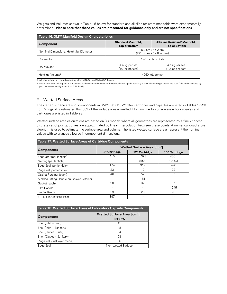Weights and Volumes shown in Table 16 below for standard and alkaline resistant manifolds were experimentally determined. **Please note that these values are presented for guidance only and are not specifications**.

| Table 16. 3M™ Manifold Design Characteristics |                                                                          |                                                                   |  |
|-----------------------------------------------|--------------------------------------------------------------------------|-------------------------------------------------------------------|--|
| Component                                     | <b>Standard Manifold,</b><br><b>Top or Bottom</b>                        | Alkaline Resistant <sup>1</sup> Manifold,<br><b>Top or Bottom</b> |  |
| Nominal Dimensions, Height by Diameter        | $5.2 \text{ cm} \times 45.2 \text{ cm}$<br>(2.0 inches x 17.8 inches)    |                                                                   |  |
| Connector                                     | 11/2" Sanitary Style                                                     |                                                                   |  |
| Dry Weight                                    | 4.4 kg per set<br>4.7 kg per set<br>(10 lbs per set)<br>(10 lbs per set) |                                                                   |  |
| Hold-up Volume <sup>2</sup>                   | <250 mL per set                                                          |                                                                   |  |

1 Alkaline resistance is based on testing with 1M NaOH and 5% NaClO (Bleach).

2 Post blow-down hold-up volume is defined as the estimated volume of the residual flush liquid after air/gas blow-down using water as the flush fluid, and calculated by post-blow-down weight and flush fluid density.

#### <span id="page-16-0"></span>F. Wetted Surface Areas

The wetted surface areas of components in 3M™ Zeta Plus™ filter cartridges and capsules are listed in Tables 17-20. For O-rings, it is estimated that 50% of the surface area is wetted. Nominal media surface areas for capsules and cartridges are listed in Table 23.

Wetted surface area calculations are based on 3D models where all geometries are represented by a finely spaced discrete set of points; curves are approximated by linear interpolation between these points. A numerical quadrature algorithm is used to estimate the surface area and volume. The listed wetted surface areas represent the nominal values with tolerances allowed in component dimensions.

| <b>Table 17. Wetted Surface Areas of Cartridge Components</b> |                                             |               |               |  |
|---------------------------------------------------------------|---------------------------------------------|---------------|---------------|--|
|                                                               | <b>Wetted Surface Area [cm<sup>2</sup>]</b> |               |               |  |
| <b>Components</b>                                             | 8" Cartridge                                | 12" Cartridge | 16" Cartridge |  |
| Separator (per lenticle)                                      | 415                                         | 1373          | 4361          |  |
| Netting (per lenticle)                                        |                                             | 5970          | 12900         |  |
| Edge Seal (per lenticle)                                      | 174                                         | 312           | 426           |  |
| Ring Seal (per lenticle)                                      | 23                                          | 12            | 22            |  |
| Gasket Retainer (each)                                        | 46                                          | 57            | 57            |  |
| Molded Lifting Handle on Gasket Retainer                      |                                             | 181           |               |  |
| Gasket (each)                                                 | 28                                          | 37            | 37            |  |
| Film Handle                                                   |                                             |               | 1245          |  |
| <b>Binder Bands</b>                                           | 19                                          | 28            | 28            |  |
| 8" Plug-in Unitizing Post                                     | 397                                         |               |               |  |

| Table 18. Wetted Surface Areas of Laboratory Capsule Components |                                             |  |  |
|-----------------------------------------------------------------|---------------------------------------------|--|--|
| <b>Components</b>                                               | <b>Wetted Surface Area [cm<sup>2</sup>]</b> |  |  |
|                                                                 | <b>BC0025</b>                               |  |  |
| Shell (Inlet $-$ Luer)                                          | 41                                          |  |  |
| Shell (Inlet - Sanitary)                                        | 48                                          |  |  |
| Shell (Outlet - Luer)                                           | 54                                          |  |  |
| Shell (Outlet - Sanitary)                                       | 58                                          |  |  |
| Ring Seal (dual layer media)                                    | 36                                          |  |  |
| Edge Seal                                                       | Non-wetted Surface                          |  |  |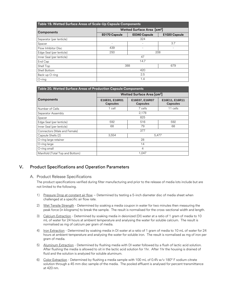| Table 19. Wetted Surface Areas of Scale-Up Capsule Components |                                             |                      |               |  |  |  |
|---------------------------------------------------------------|---------------------------------------------|----------------------|---------------|--|--|--|
|                                                               | <b>Wetted Surface Area [cm<sup>2</sup>]</b> |                      |               |  |  |  |
| <b>Components</b>                                             | E0170 Capsule                               | <b>E0340 Capsule</b> | E1020 Capsule |  |  |  |
| Separator (per lenticle)                                      |                                             | 324                  |               |  |  |  |
| Spacer                                                        | 3.7<br>٠<br>۰                               |                      |               |  |  |  |
| Flow Inhibitor Disc                                           | 439                                         |                      |               |  |  |  |
| Edge Seal (per lenticle)                                      | 250                                         | 208                  |               |  |  |  |
| Inner Seal (per lenticle)                                     |                                             | 47                   |               |  |  |  |
| End Cap                                                       |                                             | 14.7                 |               |  |  |  |
| Shell Top                                                     |                                             | 388                  | 679           |  |  |  |
| Shell Bottom                                                  | 420                                         |                      |               |  |  |  |
| Back-up O-ring                                                | 2.5                                         |                      |               |  |  |  |
| $O$ -ring                                                     |                                             | 1.4                  |               |  |  |  |

| Table 20. Wetted Surface Areas of Production Capsule Components |                                   |                                             |                                   |  |  |  |
|-----------------------------------------------------------------|-----------------------------------|---------------------------------------------|-----------------------------------|--|--|--|
|                                                                 |                                   | <b>Wetted Surface Area [cm<sup>2</sup>]</b> |                                   |  |  |  |
| <b>Components</b>                                               | E16E01, E16R01<br><b>Capsules</b> | E16E07, E16R07<br><b>Capsules</b>           | E16E11, E16R11<br><b>Capsules</b> |  |  |  |
| Number of Cells                                                 | 1 cell                            | 7 cells                                     | 11 cells                          |  |  |  |
| Separator Assembly                                              |                                   | 2,178                                       |                                   |  |  |  |
| Spacer                                                          |                                   | 825                                         |                                   |  |  |  |
| Edge Seal (per lenticle)                                        | 592                               | 516                                         | 592                               |  |  |  |
| Inner Seal (per lenticle)                                       | 68                                | 79                                          | 68                                |  |  |  |
| Connectors (Male and Female)                                    |                                   | 377                                         |                                   |  |  |  |
| Capsule Shells (2)                                              | 3,554                             |                                             | 5,477                             |  |  |  |
| O-ring large retainer                                           |                                   | 28                                          |                                   |  |  |  |
| O-ring large                                                    |                                   | 14                                          |                                   |  |  |  |
| O-ring small                                                    |                                   | 4                                           |                                   |  |  |  |
| Manifold (Total Top and Bottom)                                 |                                   | 1,047                                       |                                   |  |  |  |

# <span id="page-17-0"></span>V. Product Specifications and Operation Parameters

#### <span id="page-17-1"></span>A. Product Release Specifications

The product specifications verified during filter manufacturing and prior to the release of media lots include but are not limited to the following.

- 1) Pressure Drop at constant air flow Determined by testing a 5-inch diameter disc of media sheet when challenged at a specific air flow rate.
- 2) Wet Tensile Strength Determined by soaking a media coupon in water for two minutes then measuring the peak force (in kilograms) to break the sample. The result is normalised for the cross-sectional width and length.
- 3) Calcium Extraction Determined by soaking media in deionized (DI) water at a ratio of 1 gram of media to 10 mL of water for 24 hours at ambient temperature and analysing the water for soluble calcium. The result is normalised as mg of calcium per gram of media.
- 4) Iron Extraction Determined by soaking media in DI water at a ratio of 1 gram of media to 10 mL of water for 24 hours at ambient temperature and analysing the water for soluble iron. The result is normalised as mg of iron per gram of media.
- 5) Aluminum Extraction Determined by flushing media with DI water followed by a flush of lactic acid solution. After flushing the media is allowed to sit in the lactic acid solution for 1hr. After 1hr the housing is drained of fluid and the solution is analyzed for soluble aluminum.
- 6) Color Extraction Determined by flushing a media sample with 100 mL of 0.4% w/v 180° F sodium citrate solution through a 45 mm disc sample of the media. The pooled effluent is analysed for percent transmittance at 420 nm.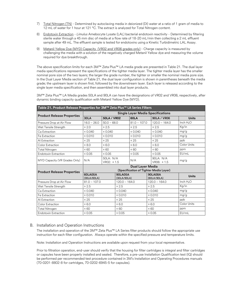- 7) Total Nitrogen (TN) Determined by autoclaving media in deionized (DI) water at a ratio of 1 gram of media to 12 mL of water for 1 hour at 121 °C. The extract is analyzed for Total Nitrogen content.
- 8) Endotoxin Extraction *Limulus* Amebocyte Lysate (LAL) bacterial endotoxin reactivity Determined by filtering sterile water through a 45 mm disc of media at a flow rate of 18-20 mL/min then collecting a 2 mL effluent sample after 49 mL. The effluent sample is tested for endotoxins using a Kinetic Turbidimetric LAL Assay.
- 9) Metanil Yellow Dye (MYD) Capacity (VR02 and VR06 grades only) Charge capacity is measured by challenging the media with a solution of the negatively charged Metanil Yellow dye and measuring the volume required for dye breakthrough.

The above specification limits for each 3M™ Zeta Plus™ LA media grade are presented in Table 21. The dual layer media specifications represent the specifications of the tighter media layer. The tighter media layer has the smaller nominal pore size of the two layers; the larger the grade number, the tighter or smaller the nominal media pore size. In the Dual Layer Media section of Table 21, the dual layer configuration is shown in parentheses beneath the media grade; the upstream layer is shown first, followed by the downstream layer. Each layer is released according to the single layer media specification, and then assembled into dual layer products.

3M™ Zeta Plus™ LA Media grades 50LA and 90LA can have the designations of VR02 and VR06, respectively, after dynamic binding capacity qualification with Metanil Yellow Dye (MYD).

| <b>Single Layer Media Specifications</b> |                                                                   |                          |                               |                |                               |              |  |
|------------------------------------------|-------------------------------------------------------------------|--------------------------|-------------------------------|----------------|-------------------------------|--------------|--|
| <b>Product Release Properties</b>        | <b>30LA</b><br><b>50LA / VR02</b>                                 |                          |                               | <b>60LA</b>    | <b>90LA / VR06</b>            | <b>Units</b> |  |
| Pressure Drop at Air Flow                | $16.0 - 26.0$                                                     | $50.0 - 68.0$            |                               | $81.0 - 107.0$ | $120.0 - 164.0$               | Inch $H_2O$  |  |
| Wet Tensile Strength                     | $\geq 2.0$                                                        | $\geq 2.5$               |                               | $\geq 2.5$     | $\geq 2.5$                    | Kg/in        |  |
| Ca Extraction                            | $\leq$ 0.040                                                      | $\leq 0.040$             |                               | $\leq$ 0.040   | $\leq 0.040$                  | mg/g         |  |
| Fe Extraction                            | $\leq 0.010$                                                      | $\leq 0.010$             |                               | $\leq 0.010$   | $\leq 0.010$                  | mg/g         |  |
| Al Extraction                            | $\leq 25$                                                         | $\leq 25$                |                               | $\leq 25$      | $\leq 25$                     | ppb          |  |
| Color Extraction                         | $\leq 8.0$                                                        | $\leq 6.0$               |                               | $\leq 6.0$     | $\leq 6.0$                    | Color Units  |  |
| <b>Total Nitrogen</b>                    | $\leq 60$                                                         | $\leq 60$                |                               | $\leq 60$      | $\leq 60$                     | ppm          |  |
| Endotoxin Extraction                     | $\leq 0.05$                                                       | $\leq$ 0.05              |                               | $\leq$ 0.05    | $\leq$ 0.05                   | EU/mL        |  |
| MYD Capacity (VR Grades Only)            | N/A                                                               | 50LA: N/A<br>VR02: ≥ 1.5 |                               | N/A            | 90LA: N/A<br>VR06: ≥ 1.5      | mg/g         |  |
| <b>Product Release Properties</b>        | <b>Dual Layer Media</b><br>(Specification of Tighter Media Layer) |                          |                               |                |                               |              |  |
|                                          | <b>60LA05A</b><br>(30LA/60LA)                                     |                          | <b>90LA05A</b><br>(30LA/90LA) |                | <b>90LA08A</b><br>(60LA/90LA) | <b>Units</b> |  |
| Pressure Drop at Air Flow                | $81.0 - 107.0$                                                    |                          | $120.0 - 164.0$               |                | $120.0 - 164.0$               | Inch $H_2O$  |  |
| Wet Tensile Strength                     | $\geq 2.5$                                                        |                          | $\geq 2.5$                    |                | $\geq 2.5$                    | Kg/in        |  |
| Ca Extraction                            | $\leq 0.040$                                                      |                          | $\leq 0.040$                  |                | $\leq 0.040$                  | mg/g         |  |
| Fe Extraction                            | $\leq 0.010$                                                      |                          | $\leq 0.010$                  |                | $\leq 0.010$                  | mg/g         |  |
| Al Extraction                            | $\leq$ 25                                                         |                          | $\leq$ 25                     |                | $\leq$ 25                     | ppb          |  |
| Color Extraction                         | $\leq 6.0$                                                        |                          | $\leq 6.0$                    |                | $\leq 6.0$                    | Color Units  |  |
| <b>Total Nitrogen</b>                    | $\leq 60$                                                         |                          | $\leq 60$                     |                | $\leq 60$                     | ppm          |  |
| Endotoxin Extraction                     | $\leq 0.05$                                                       | $\leq 0.05$              |                               | $\leq 0.05$    |                               | EU/mL        |  |

#### <span id="page-18-0"></span>B. Installation and Operation Instructions

The installation and operation of the 3M™ Zeta Plus™ LA Series filter products should follow the appropriate use instruction for each filter configuration. Always operate within the specified pressure and temperature limits.

Note: Installation and Operation Instructions are available upon request from your local representative.

Prior to filtration operation, end-user should verify that the housing for filter cartridges is integral and filter cartridges or capsules have been properly installed and sealed. Therefore, a pre-use Installation Qualification test (IQ) should be performed per recommended test procedure contained in 3M's Installation and Operating Procedures manuals (70-0201-8802-8 for cartridges, 70-0202-6945-5 for capsules).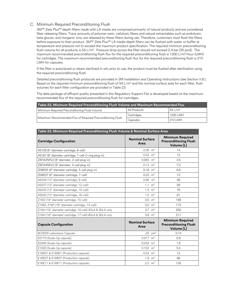#### <span id="page-19-0"></span>C. Minimum Required Preconditioning Flush

3M™ Zeta Plus™ depth filters made with LA media are comprised primarily of natural products and are considered fiber-releasing filters. Trace amounts of polymer resin, cellulosic fibers and natural extractables such as endotoxin, beta glucan, and inorganic ions, are released by these filters during use. Therefore, customers must flush the filters before exposure to their product. 3M™ Zeta Plus™ LA media depth filters can be flushed with water or buffer at temperature and pressure not to exceed the maximum product specification. The required minimum preconditioning flush volume for all products is 54 L/m². Pressure drop across the filter should not exceed 2.4 bar [35 psid]. The maximum recommended preconditioning flush flux for the required preconditioning flush is 1200 L/m²/hour (LMH) for cartridges. The maximum recommended preconditioning flush flux for the required preconditioning flush is 210 LMH for capsules.

If the filter is autoclaved or steam sterilized *in-situ* prior to use, the product must be flushed after sterilization using the required preconditioning flush.

Detailed preconditioning flush protocols are provided in 3M Installation and Operating Instructions (see Section V.B.). Based on the required minimum preconditioning flush of 54 L/m<sup>2</sup> and the nominal surface area for each filter, flush volumes for each filter configuration are provided in Table 23.

The data package of effluent quality presented in this Regulatory Support File is developed based on the maximum recommended flux of the required preconditioning flush for cartridges.

| Table 22. Minimum Required Preconditioning Flush Volume and Maximum Recommended Flux |              |                    |  |  |  |  |
|--------------------------------------------------------------------------------------|--------------|--------------------|--|--|--|--|
| Minimum Required Preconditioning Flush Volume                                        | All Products | 541/m <sup>2</sup> |  |  |  |  |
|                                                                                      | Cartridges   | 1200 LMH           |  |  |  |  |
| Maximum Recommended Flux of Required Preconditioning Flush                           | Capsules     | 210 I MH           |  |  |  |  |

| Table 23. Minimum Required Preconditioning Flush Volume & Nominal Surface Area |                                |                                                                       |  |  |  |
|--------------------------------------------------------------------------------|--------------------------------|-----------------------------------------------------------------------|--|--|--|
| <b>Cartridge Configuration</b>                                                 | <b>Nominal Surface</b><br>Area | <b>Minimum Required</b><br><b>Preconditioning Flush</b><br>Volume [L] |  |  |  |
| 45109 (8" diameter cartridge, 8-cell)                                          | $0.26$ m <sup>2</sup>          | 14                                                                    |  |  |  |
| 45167 (8" diameter cartridge, 7-cell O-ring plug-in)                           | $0.23 \text{ m}^2$             | 12                                                                    |  |  |  |
| Z8FA2NPx2 (8" diameter, 2-cell plug-in)                                        | $0.065$ m <sup>2</sup>         | 3.5                                                                   |  |  |  |
| Z8FA4NPx2 (8" diameter, 4-cell plug-in)                                        | $0.13 \text{ m}^2$             | 7.0                                                                   |  |  |  |
| Z08E05 (8" diameter cartridge, 5-cell plug-in)                                 | $0.16$ m <sup>2</sup>          | 8.6                                                                   |  |  |  |
| Z08E07 (8" diameter cartridge, 7-cell)                                         | $0.23 \text{ m}^2$             | 12                                                                    |  |  |  |
| 45244 (12" diameter cartridge, 9-cell)                                         | $0.85 \text{ m}^2$             | 46                                                                    |  |  |  |
| 45237 (12" diameter cartridge, 12-cell)                                        | 1.1 $m^2$                      | 59                                                                    |  |  |  |
| 45230 (12" diameter cartridge, 15-cell)                                        | 1.4 $m^2$                      | 76                                                                    |  |  |  |
| 45245 (12" diameter cartridge, 16-cell)                                        | $1.5 \text{ m}^2$              | 81                                                                    |  |  |  |
| Z16D (16" diameter cartridge, 15-cell)                                         | 3.5 $m2$                       | 189                                                                   |  |  |  |
| Z16M, Z16P (16" diameter cartridge, 14-cell)                                   | 3.2 $m2$                       | 173                                                                   |  |  |  |
| Z16H (16" diameter cartridge, 16-cell) 30LA & 50LA only                        | 3.7 $m2$                       | 200                                                                   |  |  |  |
| Z16H (16" diameter cartridge, 17-cell) 60LA & 90LA only                        | 3.9 $m2$                       | 211                                                                   |  |  |  |
| <b>Capsule Configuration</b>                                                   | <b>Nominal Surface</b><br>Area | <b>Minimum Required</b><br><b>Preconditioning Flush</b><br>Volume [L] |  |  |  |
| BC0025 Laboratory Capsule                                                      | $25$ cm <sup>2</sup>           | 0.14                                                                  |  |  |  |
| E0170 (Scale-Up capsule)                                                       | $0.017$ m <sup>2</sup>         | 0.9                                                                   |  |  |  |
| E0340 (Scale-Up capsule)                                                       | $0.034$ m <sup>2</sup>         | 1.8                                                                   |  |  |  |
| E1020 (Scale-Up capsule)                                                       | $0.102$ m <sup>2</sup>         | 5.5                                                                   |  |  |  |
| E16E01 & E16R01 (Production capsule)                                           | $0.23 \text{ m}^2$             | 12                                                                    |  |  |  |
| E16E07 & E16R07 (Production capsule)                                           | 1.6 $m^2$                      | 86                                                                    |  |  |  |
| E16E11 & E16R11 (Production capsule)                                           | $2.5 \text{ m}^2$              | 135                                                                   |  |  |  |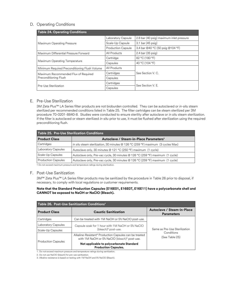#### <span id="page-20-0"></span>D. Operating Conditions

| <b>Table 24. Operating Conditions</b>         |                           |                                          |  |  |  |  |
|-----------------------------------------------|---------------------------|------------------------------------------|--|--|--|--|
|                                               | Laboratory Capsule        | 2.8 bar (40 psig) maximum inlet pressure |  |  |  |  |
| Maximum Operating Pressure                    | Scale-Up Capsule          | $3.1$ bar (45 psig)                      |  |  |  |  |
|                                               | <b>Production Capsule</b> | 3.4 bar @40 °C (50 psig @104 °F)         |  |  |  |  |
| Maximum Differential Pressure Forward         | All Products              | $2.4$ bar (35 psig)                      |  |  |  |  |
|                                               | Cartridge                 | 82 °C (180 °F)                           |  |  |  |  |
| Maximum Operating Temperature                 | Capsules                  | 40 °C (104 °F)                           |  |  |  |  |
| Minimum Required Preconditioning Flush Volume | All Products              |                                          |  |  |  |  |
| Maximum Recommended Flux of Required          | Cartridges                | See Section V. C.                        |  |  |  |  |
| Preconditioning Flush                         | Capsules                  |                                          |  |  |  |  |
|                                               | Cartridges                | See Section V. F.                        |  |  |  |  |
| Pre-Use Sterilization                         | Capsules                  |                                          |  |  |  |  |

#### <span id="page-20-1"></span>E. Pre-Use Sterilization

3M Zeta Plus™ LA Series filter products are not bioburden controlled. They can be autoclaved or *in-situ* steam sterilized per recommended conditions listed in Table 25. The filter cartridges can be steam sterilized per 3M procedure 70-0201-8840-8. Studies were conducted to ensure sterility after autoclave or *in situ* steam sterilization. If the filter is autoclaved or steam sterilized *in-situ* prior to use, it must be flushed after sterilization using the required preconditioning flush.

| <b>Table 25. Pre-Use Sterilization Conditions</b> |                                                                                  |  |  |  |  |
|---------------------------------------------------|----------------------------------------------------------------------------------|--|--|--|--|
| <b>Product Class</b>                              | Autoclave / Steam-in-Place Parameters <sup>1</sup>                               |  |  |  |  |
| Cartridges                                        | in situ steam sterilization, 30 minutes @ 126 °C (259 °F) maximum (3 cycles Max) |  |  |  |  |
| Laboratory Capsules                               | Autoclave only, 30 minutes @ 121 °C (250 °F) maximum (1 cycle)                   |  |  |  |  |
| Scale-Up Capsules                                 | Autoclave only, Pre-vac cycle, 30 minutes @ 126 °C (259 °F) maximum (1 cycle)    |  |  |  |  |
| <b>Production Capsules</b>                        | Autoclave only, Pre-vac cycle, 30 minutes @ 126 °C (259 °F) maximum (1 cycle)    |  |  |  |  |

1 Do not exceed maximum pressure and temperature ratings during sterilization.

#### <span id="page-20-2"></span>F. Post-Use Sanitization

3M™ Zeta Plus™ LA Series filter products may be sanitized by the procedure in Table 26 prior to disposal, if necessary, to comply with local regulations or customer requirements.

#### **Note that the Standard Production Capsules (E16E01, E16E07, E16E11) have a polycarbonate shell and CANNOT be exposed to NaOH or NaClO (Bleach).**

| Table 26. Post-Use Sanitization Conditions <sup>1</sup> |                                                                                                                                |                                                 |  |  |  |  |  |
|---------------------------------------------------------|--------------------------------------------------------------------------------------------------------------------------------|-------------------------------------------------|--|--|--|--|--|
| <b>Product Class</b>                                    | <b>Caustic Sanitization</b>                                                                                                    | Autoclave / Steam-in-Place<br><b>Parameters</b> |  |  |  |  |  |
| Cartridges                                              | Can be treated with 1M NaOH or 5% NaCIO post-use.                                                                              |                                                 |  |  |  |  |  |
| Laboratory Capsules                                     | Capsule soak for 1 hour with 1M NaOH or 5% NaClO                                                                               |                                                 |  |  |  |  |  |
| Scale-Up Capsules                                       | (bleach) <sup>2</sup> post-use.                                                                                                | Same as Pre-Use Sterilization                   |  |  |  |  |  |
|                                                         | Alkaline-Resistant <sup>3</sup> Production Capsules can be treated<br>with 1M NaOH or 5% NaCIO (bleach) <sup>2</sup> post-use. | Conditions<br>(See Table 25)                    |  |  |  |  |  |
| <b>Production Capsules</b>                              | Not applicable to polycarbonate Standard<br><b>Production Capsules.</b>                                                        |                                                 |  |  |  |  |  |
|                                                         | 1. Do not exceed maximum pressure and temperature ratings during sanitization.                                                 |                                                 |  |  |  |  |  |

2. Do not use NaClO (bleach) for pre-use sanitization.

3. Alkaline resistance is based on testing with 1M NaOH and 5% NaClO (Bleach).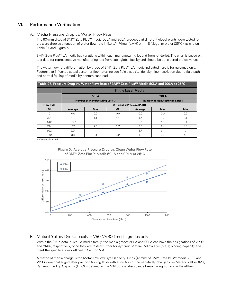# <span id="page-21-0"></span>VI. Performance Verification

#### <span id="page-21-1"></span>A. Media Pressure Drop vs. Water Flow Rate

The 90-mm discs of 3M™ Zeta Plus™ media 50LA and 90LA produced at different global plants were tested for pressure drop as a function of water flow rate in liters/m²/hour (LMH) with 18 Megohm water (25°C), as shown in Table 27 and Figure 5.

3M™ Zeta Plus™ LA media has variations within each manufacturing lot and from lot-to-lot. The chart is based on test data for representative manufacturing lots from each global facility and should be considered typical values.

The water flow rate differentiation by grade of 3M™ Zeta Plus™ LA media indicated here is for guidance only. Factors that influence actual customer flow rates include fluid viscosity, density, flow restriction due to fluid path, and normal fouling of media by contaminant load.

| Table 27. Pressure Drop vs. Water Flow Rate of 3M™ Zeta Plus™ Media 50LA and 90LA at 25°C |         |                                        |                          |                           |                                        |            |  |
|-------------------------------------------------------------------------------------------|---------|----------------------------------------|--------------------------|---------------------------|----------------------------------------|------------|--|
|                                                                                           |         |                                        |                          | <b>Single Layer Media</b> |                                        |            |  |
|                                                                                           |         | <b>50LA</b>                            |                          |                           | <b>90LA</b>                            |            |  |
|                                                                                           |         | <b>Number of Manufacturing Lots: 3</b> |                          |                           | <b>Number of Manufacturing Lots: 4</b> |            |  |
| <b>Flow Rate</b>                                                                          |         | Differential Pressure (PSID)           |                          |                           |                                        |            |  |
| <b>LMH</b>                                                                                | Average | <b>Max</b>                             | <b>Min</b>               | Average                   | <b>Max</b>                             | <b>Min</b> |  |
| $\Omega$                                                                                  | 0.0     | 0.0                                    | 0.0                      | 0.0                       | 0.0                                    | 0.0        |  |
| 304                                                                                       | 1.1     | 1.1                                    | 1.1                      | 1.7                       | 1.2                                    | 2.1        |  |
| 542                                                                                       | $1.9*$  |                                        |                          | 2.7                       | 1.8                                    | 3.4        |  |
| 794                                                                                       | 2.7     | 2.6                                    | 2.7                      | 3.3                       | 2.4                                    | 4.3        |  |
| 992                                                                                       | $2.9*$  |                                        | $\overline{\phantom{0}}$ | 3.7                       | 3.1                                    | 4.4        |  |
| 1204                                                                                      | 3.8     | 3.1                                    | 4.2                      | 4.3                       | 3.8                                    | 4.9        |  |

One sample tested



# <span id="page-21-2"></span>B. Metanil Yellow Dye Capacity – VR02/VR06 media grades only

Within the 3M™ Zeta Plus™ LA media family, the media grades 50LA and 90LA can have the designations of VR02 and VR06, respectively, once they are tested further for dynamic Metanil Yellow Dye (MYD) binding capacity and meet the specifications outlined in Section V.A.

A metric of media charge is the Metanil Yellow Dye Capacity. Discs (47mm) of 3M™ Zeta Plus™ media VR02 and VR06 were challenged after preconditioning flush with a solution of the negatively charged dye Metanil Yellow (MY). Dynamic Binding Capacity (DBC) is defined as the 50% optical absorbance breakthrough of MY in the effluent.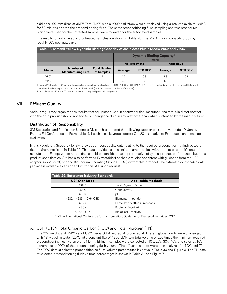Additional 90-mm discs of 3M™ Zeta Plus™ media VR02 and VR06 were autoclaved using a pre-vac cycle at 126°C for 60 minutes prior to the preconditioning flush. The same preconditioning flush sampling and test procedures which were used for the untreated samples were followed for the autoclaved samples.

The results for autoclaved and untreated samples are shown in Table 28. The MYD binding capacity drops by roughly 50% post autoclave.

| Table 28. Metanil Yellow Dynamic Binding Capacity of 3M™ Zeta Plus™ Media VR02 and VR06 |                                        |                                   |                                                        |     |     |     |  |
|-----------------------------------------------------------------------------------------|----------------------------------------|-----------------------------------|--------------------------------------------------------|-----|-----|-----|--|
|                                                                                         |                                        |                                   | <b>Dynamic Binding Capacity<sup>1</sup></b><br>(mg/g)  |     |     |     |  |
|                                                                                         |                                        |                                   | <b>No Treatment</b><br><b>Autoclave</b>                |     |     |     |  |
| Media                                                                                   | Number of<br><b>Manufacturing Lots</b> | <b>Total Number</b><br>of Samples | <b>STD DEV</b><br><b>STD DEV</b><br>Average<br>Average |     |     |     |  |
| VR <sub>02</sub>                                                                        |                                        | 4                                 | 2.5                                                    | 0.3 | 1.3 | 0.2 |  |
| <b>VR06</b>                                                                             |                                        |                                   | 2.5                                                    | 0.3 | 1.5 | 0.2 |  |

1 Metanil Yellow dye (3-(4-Anilinophenylazo)benzenesulfonic acid sodium salt; C18H14N3NaO3S; CAS#: 587-98-4; 4.5 mM sodium acetate containing 0.08 mg/mL of Metanil Yellow at pH 4 at a flow rate of 1200 L/m<sup>2</sup>/h (2 mL/min per cm<sup>2</sup> nominal surface area.)

2 Autoclaved at 126°C for 60 minutes, followed by required preconditioning flush

# <span id="page-22-0"></span>VII. Effluent Quality

Various regulatory organizations require that equipment used in pharmaceutical manufacturing that is in direct contact with the drug product should not add to or change the drug in any way other than what is intended by the manufacturer.

#### Distribution of Responsibility

3M Separation and Purification Sciences Division has adopted the following supplier collaborative model (D. Jenke, Pharma Ed Conference on Extractables & Leachables, keynote address Oct 2011) relative to Extractable and Leachable evaluation.

In this Regulatory Support File, 3M provides effluent quality data relating to the required preconditioning flush based on the requirements listed in Table 29. The data provided is on a limited number of lots with product close to it's date of manufacture. Except where noted, data should be considered as representative of typical product performance, but not a product specification. 3M has also performed Extractable/Leachable studies consistent with guidance from the USP chapter <665> (draft) and the BioPhorum Operating Group (BPOG) extractable protocol. The extractable/leachable data package is available as an addendum to this RSF upon request.

| Table 29. Reference Industry Standards |                                  |  |  |  |  |
|----------------------------------------|----------------------------------|--|--|--|--|
| <b>USP Standards</b>                   | <b>Applicable Methods</b>        |  |  |  |  |
| <643>                                  | Total Organic Carbon             |  |  |  |  |
| <645>                                  | Conductivity                     |  |  |  |  |
| <791>                                  | рH                               |  |  |  |  |
| <232>, <233>, ICH* Q3D                 | Elemental Impurities             |  |  |  |  |
| <788>                                  | Particulate Matter in Injections |  |  |  |  |
| <85>                                   | <b>Bacterial Endotoxin</b>       |  |  |  |  |
| $<87$ , $<88$                          | <b>Biological Reactivity</b>     |  |  |  |  |

\* ICH – International Conference for Harmonisation, Guideline for Elemental Impurities, Q3D

#### <span id="page-22-1"></span>A. USP <643> Total Organic Carbon (TOC) and Total Nitrogen (TN)

The 90-mm discs of 3M™ Zeta Plus™ media 50LA and 90LA produced at different global plants were challenged with 18 Megohm water (25°C) at a constant flux of 1200 LMH to a total volume of two times the minimum required preconditioning flush volume of 54 L/m². Effluent samples were collected at 10%, 20%, 30%, 40%, and so on at 10% increments to 200% of the preconditioning flush volume. The effluent samples were then analyzed for TOC and TN. The TOC data at selected preconditioning flush volume percentages is shown in Table 30 and Figure 6. The TN data at selected preconditioning flush volume percentages is shown in Table 31 and Figure 7.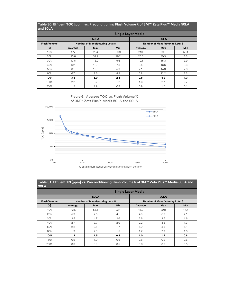| Table 30. Effluent TOC [ppm] vs. Preconditioning Flush Volume % of 3M™ Zeta Plus™ Media 50LA<br>and 90LA |                           |                                        |            |                                        |             |            |  |
|----------------------------------------------------------------------------------------------------------|---------------------------|----------------------------------------|------------|----------------------------------------|-------------|------------|--|
|                                                                                                          | <b>Single Layer Media</b> |                                        |            |                                        |             |            |  |
|                                                                                                          |                           | <b>50LA</b>                            |            |                                        | <b>90LA</b> |            |  |
| <b>Flush Volume</b>                                                                                      |                           | <b>Number of Manufacturing Lots: 8</b> |            | <b>Number of Manufacturing Lots: 6</b> |             |            |  |
| [%]                                                                                                      | Average                   | <b>Max</b>                             | <b>Min</b> | Average                                | <b>Max</b>  | <b>Min</b> |  |
| 10 <sup>°</sup>                                                                                          | 177                       | 254                                    | 89.9       | 210                                    | 393         | 52.1       |  |
| 20%                                                                                                      | 23.6                      | 32.9                                   | 16.2       | 20.5                                   | 30.3        | 6.3        |  |
| 30 <sup>°</sup>                                                                                          | 13.6                      | 18.0                                   | 9.6        | 10.1                                   | 15.3        | 3.9        |  |
| 40%                                                                                                      | 10.1                      | 13.5                                   | 7.3        | 8.4                                    | 16.6        | 3.3        |  |
| 50%                                                                                                      | 8.1                       | 10.6                                   | 5.9        | 7.1                                    | 14.3        | 2.8        |  |
| 60%                                                                                                      | 6.7                       | 8.6                                    | 4.8        | 5.8                                    | 12.2        | 2.3        |  |
| 100%                                                                                                     | 3.8                       | 5.0                                    | 2.4        | 2.8                                    | 4.9         | 1.3        |  |
| 150%                                                                                                     | 2.2                       | 3.2                                    | 1.2        | 1.6                                    | 2.7         | 0.7        |  |
| 200%                                                                                                     | 1.5                       | 1.9                                    | 0.8        | 0.9                                    | 1.7         | 0.1        |  |



| Table 31. Effluent TN [ppm] vs. Preconditioning Flush Volume % of 3M™ Zeta Plus™ Media 50LA and<br><b>90LA</b> |         |                                        |            |                                        |             |            |  |  |
|----------------------------------------------------------------------------------------------------------------|---------|----------------------------------------|------------|----------------------------------------|-------------|------------|--|--|
|                                                                                                                |         |                                        |            | <b>Single Layer Media</b>              |             |            |  |  |
|                                                                                                                |         | <b>50LA</b>                            |            |                                        | <b>90LA</b> |            |  |  |
| <b>Flush Volume</b>                                                                                            |         | <b>Number of Manufacturing Lots: 8</b> |            | <b>Number of Manufacturing Lots: 6</b> |             |            |  |  |
| $[\mathrm{S}]$                                                                                                 | Average | <b>Max</b>                             | <b>Min</b> | Average                                | <b>Max</b>  | <b>Min</b> |  |  |
| 10%                                                                                                            | 42.6    | 55.1                                   | 22.1       | 46.9                                   | 80.8        | 14.7       |  |  |
| 20%                                                                                                            | 5.9     | 7.5                                    | 4.1        | 4.9                                    | 6.8         | 2.1        |  |  |
| 30 <sup>°</sup>                                                                                                | 3.5     | 4.7                                    | 2.6        | 2.6                                    | 3.5         | 1.6        |  |  |
| 40%                                                                                                            | 2.7     | 3.7                                    | 2.0        | 2.2                                    | 3.8         | 1.3        |  |  |
| 50%                                                                                                            | 2.2     | 3.1                                    | 1.7        | 1.9                                    | 3.3         | 1.1        |  |  |
| 60%                                                                                                            | 1.9     | 2.3                                    | 1.5        | 1.7                                    | 2.9         | 1.0        |  |  |
| 100%                                                                                                           | 1.2     | 1.5                                    | 0.8        | 1.0                                    | 1.4         | 0.8        |  |  |
| 150%                                                                                                           | 0.9     | 1.0                                    | 0.6        | 0.8                                    | 0.9         | 0.6        |  |  |
| 200%                                                                                                           | 0.8     | 0.9                                    | 0.5        | 0.6                                    | 0.8         | 0.5        |  |  |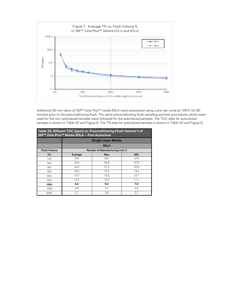

Additional 90-mm discs of 3M™ Zeta Plus™ media 90LA were autoclaved using a pre-vac cycle at 126°C for 60 minutes prior to the preconditioning flush. The same preconditioning flush sampling and test procedures which were used for the non-autoclaved samples were followed for the autoclaved samples. The TOC data for autoclaved samples is shown in Table 32 and Figure 8. The TN data for autoclaved samples is shown in Table 33 and Figure 9.

|                     | Table 32. Effluent TOC [ppm] vs. Preconditioning Flush Volume % of<br>3M™ Zeta Plus™ Media 90LA - Post Autoclave |                                        |      |  |  |  |  |
|---------------------|------------------------------------------------------------------------------------------------------------------|----------------------------------------|------|--|--|--|--|
|                     |                                                                                                                  | <b>Single Layer Media</b>              |      |  |  |  |  |
|                     |                                                                                                                  | <b>90LA</b>                            |      |  |  |  |  |
| <b>Flush Volume</b> |                                                                                                                  | <b>Number of Manufacturing Lots: 2</b> |      |  |  |  |  |
| $[\%]$              | Average                                                                                                          | <b>Max</b>                             | Min  |  |  |  |  |
| 10 <sup>°</sup>     | 478                                                                                                              | 587                                    | 370  |  |  |  |  |
| 20%                 | 53.9                                                                                                             | 59.9                                   | 47.8 |  |  |  |  |
| 30%                 | 24.2                                                                                                             | 27.9                                   | 20.6 |  |  |  |  |
| 40%                 | 16.2                                                                                                             | 18.3                                   | 14.2 |  |  |  |  |
| 50%                 | 13.7                                                                                                             | 15.3                                   | 12.1 |  |  |  |  |
| 60%                 | 12.0                                                                                                             | 13.0                                   | 11.1 |  |  |  |  |
| 100%                | 8.2                                                                                                              | 9.3                                    | 7.0  |  |  |  |  |
| 150%                | 4.5                                                                                                              | 5.1                                    | 4.0  |  |  |  |  |
| 200%                | 2.7                                                                                                              | 2.8                                    | 2.7  |  |  |  |  |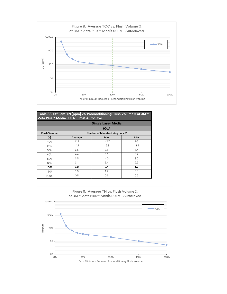

| Table 33. Effluent TN [ppm] vs. Preconditioning Flush Volume % of 3M™<br>Zeta Plus <sup>™</sup> Media 90LA - Post Autoclave |         |                                        |      |  |  |  |  |
|-----------------------------------------------------------------------------------------------------------------------------|---------|----------------------------------------|------|--|--|--|--|
|                                                                                                                             |         | <b>Single Layer Media</b>              |      |  |  |  |  |
|                                                                                                                             |         | <b>90LA</b>                            |      |  |  |  |  |
| <b>Flush Volume</b>                                                                                                         |         | <b>Number of Manufacturing Lots: 2</b> |      |  |  |  |  |
| $[\%]$                                                                                                                      | Average | <b>Max</b>                             | Min  |  |  |  |  |
| 10%                                                                                                                         | 119     | 142.7                                  | 96   |  |  |  |  |
| 20%                                                                                                                         | 14.7    | 16.3                                   | 13.2 |  |  |  |  |
| 30%                                                                                                                         | 6.5     | 7.5                                    | 5.4  |  |  |  |  |
| 40%                                                                                                                         | 4.4     | 5.1                                    | 3.7  |  |  |  |  |
| 50%                                                                                                                         | 3.5     | 4.0                                    | 3.0  |  |  |  |  |
| 60%                                                                                                                         | 3.1     | 3.4                                    | 2.9  |  |  |  |  |
| 100%                                                                                                                        | 2.0     | 2.4                                    | 1,7  |  |  |  |  |
| 150%                                                                                                                        | 1.0     | 1.2                                    | 0.8  |  |  |  |  |
| 200%                                                                                                                        | 0.5     | 0.6                                    | 0.5  |  |  |  |  |

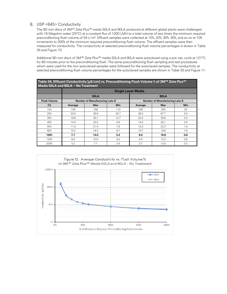#### <span id="page-26-0"></span>B. USP <645> Conductivity

The 90-mm discs of 3M™ Zeta Plus™ media 50LA and 90LA produced at different global plants were challenged with 18 Megohm water (25°C) at a constant flux of 1200 LMH to a total volume of two times the minimum required preconditioning flush volume of 54 L/m². Effluent samples were collected at 10%, 20%, 30%, 40%, and so on at 10% increments to 200% of the minimum required preconditioning flush volume. The effluent samples were then measured for conductivity. The conductivity at selected preconditioning flush volume percentages is shown in Table 34 and Figure 10.

Additional 90-mm discs of 3M™ Zeta Plus™ media 50LA and 90LA were autoclaved using a pre-vac cycle at 121°C for 60 minutes prior to the preconditioning flush. The same preconditioning flush sampling and test procedures which were used for the non-autoclaved samples were followed for the autoclaved samples. The conductivity at selected preconditioning flush volume percentages for the autoclaved samples are shown in Table 35 and Figure 11.

**Table 34. Effluent Conductivity [µS/cm] vs. Preconditioning Flush Volume % of 3M™ Zeta Plus™ Media 50LA and 90LA – No Treatment**

|                     |         |                                        |            | <b>Single Layer Media</b> |                                        |            |  |
|---------------------|---------|----------------------------------------|------------|---------------------------|----------------------------------------|------------|--|
|                     |         | <b>50LA</b>                            |            | <b>90LA</b>               |                                        |            |  |
| <b>Flush Volume</b> |         | <b>Number of Manufacturing Lots: 8</b> |            |                           | <b>Number of Manufacturing Lots: 6</b> |            |  |
| $[$ $\mathbb{Z}$    | Average | <b>Max</b>                             | <b>Min</b> | Average                   | <b>Max</b>                             | <b>Min</b> |  |
| 10 <sup>°</sup>     | 149     | 186                                    | 110        | 169                       | 293                                    | 29         |  |
| 20%                 | 33.5    | 59.9                                   | 25.7       | 36.2                      | 67.7                                   | 4.5        |  |
| 30%                 | 19.9    | 30.1                                   | 12.7       | 20.2                      | 35.6                                   | 2.4        |  |
| 40%                 | 14.3    | 23.2                                   | 9.9        | 14.2                      | 28.1                                   | 2.0        |  |
| 50%                 | 11.8    | 21.4                                   | 7.8        | 12.3                      | 22.2                                   | 1.8        |  |
| 60%                 | 10.2    | 19.3                                   | 6.7        | 10.7                      | 19.6                                   | 1.6        |  |
| 100%                | 7.7     | 14.0                                   | 5.2        | 8.0                       | 18.8                                   | 0.8        |  |
| 150%                | 6.0     | 10.0                                   | 3.5        | 6.4                       | 15.3                                   | 0.6        |  |
| 200%                | 5.2     | 7.7                                    | 3.4        | 5.7                       | 12.6                                   | 0.5        |  |

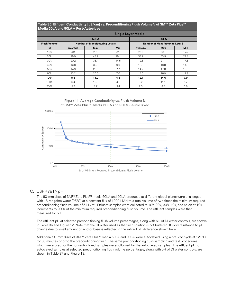| Table 35. Effluent Conductivity [µS/cm] vs. Preconditioning Flush Volume % of 3M™ Zeta Plus™<br>Media 50LA and 90LA - Post-Autoclave |         |                                        |            |                                        |            |            |  |  |
|--------------------------------------------------------------------------------------------------------------------------------------|---------|----------------------------------------|------------|----------------------------------------|------------|------------|--|--|
|                                                                                                                                      |         |                                        |            | <b>Single Layer Media</b>              |            |            |  |  |
|                                                                                                                                      |         | <b>50LA</b>                            |            | <b>90LA</b>                            |            |            |  |  |
| <b>Flush Volume</b>                                                                                                                  |         | <b>Number of Manufacturing Lots: 8</b> |            | <b>Number of Manufacturing Lots: 6</b> |            |            |  |  |
| [%]                                                                                                                                  | Average | <b>Max</b>                             | <b>Min</b> | Average                                | <b>Max</b> | <b>Min</b> |  |  |
| 10%                                                                                                                                  | 231     | 251                                    | 220        | 251                                    | 339        | 175        |  |  |
| 20%                                                                                                                                  | 29.0    | 48.9                                   | 29.1       | 34.2                                   | 43.5       | 27.8       |  |  |
| 30%                                                                                                                                  | 20.2    | 35.4                                   | 14.5       | 19.5                                   | 21.1       | 17.6       |  |  |
| 40%                                                                                                                                  | 16.8    | 30.0                                   | 9.9        | 16.0                                   | 18.8       | 14.6       |  |  |
| 50%                                                                                                                                  | 14.9    | 25.0                                   | 7.7        | 14.7                                   | 17.8       | 12.6       |  |  |
| 60%                                                                                                                                  | 13.2    | 20.6                                   | 7.0        | 14.0                                   | 16.9       | 11.3       |  |  |
| 100%                                                                                                                                 | 8.8     | 14.9                                   | 4.8        | 12.1                                   | 14.6       | 7.9        |  |  |
| 150%                                                                                                                                 | 6.4     | 10.8                                   | 4.1        | 9.2                                    | 11.1       | 5.7        |  |  |
| 200%                                                                                                                                 | 5.2     | 8.7                                    | 3.4        | 7.5                                    | 8.6        | 5.6        |  |  |



#### <span id="page-27-0"></span>C. USP <791> pH

The 90-mm discs of 3M™ Zeta Plus™ media 50LA and 90LA produced at different global plants were challenged with 18 Megohm water (25°C) at a constant flux of 1200 LMH to a total volume of two times the minimum required preconditioning flush volume of 54 L/m². Effluent samples were collected at 10%, 20%, 30%, 40%, and so on at 10% increments to 200% of the minimum required preconditioning flush volume. The effluent samples were then measured for pH.

The effluent pH at selected preconditioning flush volume percentages, along with pH of DI water controls, are shown in Table 36 and Figure 12. Note that the DI water used as the flush solution is not buffered. Its low resistance to pH change due to small amount of acid or base is reflected in the extract pH difference shown here.

Additional 90-mm discs of 3M™ Zeta Plus™ media 50LA and 90LA were autoclaved using a pre-vac cycle at 121°C for 60 minutes prior to the preconditioning flush. The same preconditioning flush sampling and test procedures which were used for the non-autoclaved samples were followed for the autoclaved samples. The effluent pH for autoclaved samples at selected preconditioning flush volume percentages, along with pH of DI water controls, are shown in Table 37 and Figure 13.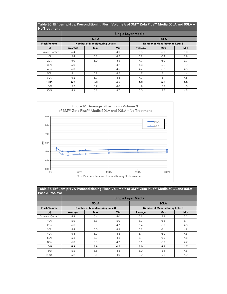| <b>No Treatment</b> | Table 36. Effluent pH vs. Preconditioning Flush Volume % of 3M™ Zeta Plus™ Media 50LA and 90LA - |                                        |            |         |                                        |            |  |  |  |  |
|---------------------|--------------------------------------------------------------------------------------------------|----------------------------------------|------------|---------|----------------------------------------|------------|--|--|--|--|
|                     |                                                                                                  | <b>Single Layer Media</b>              |            |         |                                        |            |  |  |  |  |
|                     |                                                                                                  | <b>50LA</b>                            |            |         | <b>90LA</b>                            |            |  |  |  |  |
| <b>Flush Volume</b> |                                                                                                  | <b>Number of Manufacturing Lots: 8</b> |            |         | <b>Number of Manufacturing Lots: 6</b> |            |  |  |  |  |
| $[\%]$              | Average                                                                                          | <b>Max</b>                             | <b>Min</b> | Average | <b>Max</b>                             | <b>Min</b> |  |  |  |  |
| DI Water Control    | 5.4                                                                                              | 5.9                                    | 4.9        | 5.3     | 5.9                                    | 5.0        |  |  |  |  |
| 10%                 | 5.4                                                                                              | 6.3                                    | 4.2        | 5.2     | 6.4                                    | 3.9        |  |  |  |  |
| 20%                 | 5.0                                                                                              | 6.0                                    | 3.9        | 4.7     | 6.0                                    | 3.7        |  |  |  |  |
| 30%                 | 5.0                                                                                              | 5.9                                    | 4.2        | 4.6     | 5.5                                    | 3.9        |  |  |  |  |
| 40%                 | 5.0                                                                                              | 5.8                                    | 4.5        | 4.7     | 5.2                                    | 4.3        |  |  |  |  |
| 50%                 | 5.1                                                                                              | 5.8                                    | 4.5        | 4.7     | 5.1                                    | 4.4        |  |  |  |  |
| 60%                 | 5.2                                                                                              | 5.7                                    | 4.5        | 4.7     | 5.1                                    | 4.5        |  |  |  |  |
| 100%                | 5.2                                                                                              | 5.8                                    | 4.5        | 4.9     | 5.2                                    | 4.5        |  |  |  |  |
| 150%                | 5.2                                                                                              | 5.7                                    | 4.6        | 4.9     | 5.3                                    | 4.5        |  |  |  |  |
| 200%                | 5.2                                                                                              | 5.6                                    | 4.7        | 5.0     | 5.5                                    | 4.5        |  |  |  |  |



| Table 37. Effluent pH vs. Preconditioning Flush Volume % of 3M™ Zeta Plus™ Media 50LA and 90LA -<br><b>Post-Autoclave</b> |         |                                        |            |                                        |             |            |  |  |  |  |  |  |
|---------------------------------------------------------------------------------------------------------------------------|---------|----------------------------------------|------------|----------------------------------------|-------------|------------|--|--|--|--|--|--|
|                                                                                                                           |         |                                        |            | <b>Single Layer Media</b>              |             |            |  |  |  |  |  |  |
|                                                                                                                           |         | <b>50LA</b>                            |            |                                        | <b>90LA</b> |            |  |  |  |  |  |  |
| <b>Flush Volume</b>                                                                                                       |         | <b>Number of Manufacturing Lots: 8</b> |            | <b>Number of Manufacturing Lots: 6</b> |             |            |  |  |  |  |  |  |
| $[\mathrm{k}]$                                                                                                            | Average | <b>Max</b>                             | <b>Min</b> | Average                                | <b>Max</b>  | <b>Min</b> |  |  |  |  |  |  |
| DI Water Control                                                                                                          | 5.4     | 5.4                                    | 5.0        | 5.3                                    | 5.4         | 5.2        |  |  |  |  |  |  |
| 10%                                                                                                                       | 5.9     | 6.8                                    | 5.0        | 5.7                                    | 6.5         | 5.1        |  |  |  |  |  |  |
| 20%                                                                                                                       | 5.6     | 6.3                                    | 4.7        | 5.4                                    | 6.3         | 4.8        |  |  |  |  |  |  |
| 30 <sup>°</sup>                                                                                                           | 5.4     | 6.0                                    | 4.8        | 5.2                                    | 6.1         | 4.8        |  |  |  |  |  |  |
| 40%                                                                                                                       | 5.4     | 5.9                                    | 4.8        | 5.1                                    | 6.0         | 4.8        |  |  |  |  |  |  |
| 50%                                                                                                                       | 5.3     | 5.9                                    | 4.8        | 5.1                                    | 6.0         | 4.8        |  |  |  |  |  |  |
| 60%                                                                                                                       | 5.3     | 5.8                                    | 4.7        | 5.1                                    | 5.9         | 4.7        |  |  |  |  |  |  |
| 100%                                                                                                                      | 5.2     | 5.6                                    | 4.7        | 5.0                                    | 5.7         | 4.7        |  |  |  |  |  |  |
| 150%                                                                                                                      | 5.2     | 5.5                                    | 4.8        | 5.0                                    | 5.4         | 4.8        |  |  |  |  |  |  |
| 200%                                                                                                                      | 5.2     | 5.5                                    | 4.9        | 5.0                                    | 5.3         | 4.9        |  |  |  |  |  |  |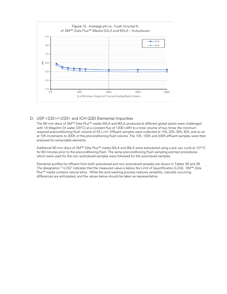

#### <span id="page-29-0"></span>D. USP <232>/<233> and ICH Q3D Elemental Impurities

The 90-mm discs of 3M™ Zeta Plus™ media 50LA and 90LA produced at different global plants were challenged with 18 Megohm DI water (25°C) at a constant flux of 1200 LMH to a total volume of two times the minimum required preconditioning flush volume of 54 L/m². Effluent samples were collected at 10%, 20%, 30%, 40%, and so on at 10% increments to 200% of the preconditioning flush volume. The 10%, 100% and 200% effluent samples were then analyzed for extractable elements.

Additional 90-mm discs of 3M™ Zeta Plus™ media 50LA and 90LA were autoclaved using a pre-vac cycle at 121°C for 60 minutes prior to the preconditioning flush. The same preconditioning flush sampling and test procedures which were used for the non-autoclaved samples were followed for the autoclaved samples.

Elemental profiles for effluent from both autoclaved and non-autoclaved samples are shown in Tables 38 and 39. The designation "<LOQ" indicates that the measured value is below the Limit of Quantification (LOQ). 3M™ Zeta Plus™ media contains natural silica. While the acid washing process reduces variability, naturally occurring differences are anticipated, and the values below should be taken as representative.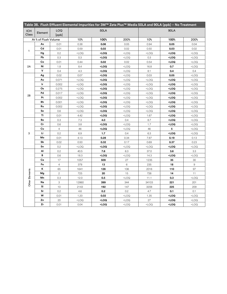|                     |                      |                |                                                                                                                                                                      |                                                                                                                                           |                                                                           |                 | Table 38. Flush Effluent Elemental Impurities for 3M™ Zeta Plus™ Media 50LA and 90LA (ppb) - No Treatment |                     |
|---------------------|----------------------|----------------|----------------------------------------------------------------------------------------------------------------------------------------------------------------------|-------------------------------------------------------------------------------------------------------------------------------------------|---------------------------------------------------------------------------|-----------------|-----------------------------------------------------------------------------------------------------------|---------------------|
| <b>ICH</b><br>Class | Element              | LOQ<br>[ppb]   |                                                                                                                                                                      | <b>50LA</b>                                                                                                                               |                                                                           |                 | <b>90LA</b>                                                                                               |                     |
|                     | At % of Flush Volume |                | 10 <sup>°</sup>                                                                                                                                                      | 100%                                                                                                                                      | 200%                                                                      | 10 <sup>°</sup> | 100%                                                                                                      | 200%                |
|                     | As                   | 0.01           | 0.38                                                                                                                                                                 | 0.06                                                                                                                                      | 0.05                                                                      | 0.94            | 0.05                                                                                                      | 0.04                |
|                     | Cd                   | 0.01           | 0.59                                                                                                                                                                 | 0.02                                                                                                                                      | 0.02                                                                      | 0.50            | 0.03                                                                                                      | 0.02                |
| 1                   | Hg                   | 0.2            | <loq< th=""><th><loq< th=""><th><math>&lt;</math> LOQ</th><th><math>&lt;</math>LOQ</th><th><math>&lt;</math>LOQ</th><th><math>&lt;</math>LOQ</th></loq<></th></loq<> | <loq< th=""><th><math>&lt;</math> LOQ</th><th><math>&lt;</math>LOQ</th><th><math>&lt;</math>LOQ</th><th><math>&lt;</math>LOQ</th></loq<>  | $<$ LOQ                                                                   | $<$ LOQ         | $<$ LOQ                                                                                                   | $<$ LOQ             |
|                     | Pb                   | 0.3            | 0.3                                                                                                                                                                  | <loq< th=""><th><math>&lt;</math> LOQ</th><th>0.3</th><th><loq< th=""><th><math>&lt;</math>LOQ</th></loq<></th></loq<>                    | $<$ LOQ                                                                   | 0.3             | <loq< th=""><th><math>&lt;</math>LOQ</th></loq<>                                                          | $<$ LOQ             |
|                     | $_{\rm Co}$          | 0.01           | 0.44                                                                                                                                                                 | 0.02                                                                                                                                      | 0.02                                                                      | 0.54            | <loq< th=""><th><math>&lt;</math>LOQ</th></loq<>                                                          | $<$ LOQ             |
| 2A                  | Ni                   | 1.8            | 8.4                                                                                                                                                                  | <loq< th=""><th><math>&lt;</math> LOQ</th><th>16.8</th><th>0.7</th><th><math>&lt;</math>LOQ</th></loq<>                                   | $<$ LOQ                                                                   | 16.8            | 0.7                                                                                                       | $<$ LOQ             |
|                     | v                    | 0.4            | 4.3                                                                                                                                                                  | <loq< th=""><th><math>&lt;</math> LOQ</th><th>8.1</th><th>0.4</th><th>0.4</th></loq<>                                                     | $<$ LOQ                                                                   | 8.1             | 0.4                                                                                                       | 0.4                 |
|                     | Ag                   | 0.02           | 0.07                                                                                                                                                                 | <loq< th=""><th><math>&lt;</math> LOQ</th><th>0.03</th><th>0.05</th><th><math>&lt;</math>LOQ</th></loq<>                                  | $<$ LOQ                                                                   | 0.03            | 0.05                                                                                                      | $<$ LOQ             |
|                     | Au                   | 0.071          | $<$ LOQ                                                                                                                                                              | <loq< th=""><th><math>&lt;</math> LOQ</th><th><math>&lt;</math> LOQ</th><th><loq< th=""><th><math>&lt;</math>LOQ</th></loq<></th></loq<>  | $<$ LOQ                                                                   | $<$ LOQ         | <loq< th=""><th><math>&lt;</math>LOQ</th></loq<>                                                          | $<$ LOQ             |
|                     | Ir                   | 0.002          | $<$ LOQ                                                                                                                                                              | <loq< th=""><th><math>&lt;</math> LOQ</th><th><math>&lt;</math> LOQ</th><th><loq< th=""><th><math>&lt;</math>LOQ</th></loq<></th></loq<>  | $<$ LOQ                                                                   | $<$ LOQ         | <loq< th=""><th><math>&lt;</math>LOQ</th></loq<>                                                          | $<$ LOQ             |
|                     | Os                   | 0.275          | $<$ LOQ                                                                                                                                                              | <loq< th=""><th><math>&lt;</math> LOQ</th><th><math>&lt;</math> LOQ</th><th><loq< th=""><th><math>&lt;</math>LOQ</th></loq<></th></loq<>  | $<$ LOQ                                                                   | $<$ LOQ         | <loq< th=""><th><math>&lt;</math>LOQ</th></loq<>                                                          | $<$ LOQ             |
| 2B                  | Pd                   | 0.017          | $<$ LOQ                                                                                                                                                              | <loq< th=""><th><math>&lt;</math> LOQ</th><th><math>&lt;</math> LOQ</th><th><math>&lt;</math>LOQ</th><th><math>&lt;</math>LOQ</th></loq<> | $<$ LOQ                                                                   | $<$ LOQ         | $<$ LOQ                                                                                                   | $<$ LOQ             |
|                     | Pt                   | 0.002          | $<$ LOQ                                                                                                                                                              | <loq< th=""><th><math>&lt;</math> LOQ</th><th><math>&lt;</math> LOQ</th><th><math>&lt;</math>LOQ</th><th><math>&lt;</math>LOQ</th></loq<> | $<$ LOQ                                                                   | $<$ LOQ         | $<$ LOQ                                                                                                   | $<$ LOQ             |
|                     | Rh                   | 0.001          | $<$ LOQ                                                                                                                                                              | <loq< th=""><th><math>&lt;</math> LOQ</th><th><math>&lt;</math> LOQ</th><th><loq< th=""><th><math>&lt;</math>LOQ</th></loq<></th></loq<>  | $<$ LOQ                                                                   | $<$ LOQ         | <loq< th=""><th><math>&lt;</math>LOQ</th></loq<>                                                          | $<$ LOQ             |
|                     | Ru                   | 0.002          | $<$ LOQ                                                                                                                                                              | <loq< th=""><th><math>&lt;</math> LOQ</th><th><math>&lt;</math> LOQ</th><th><loq< th=""><th><math>&lt;</math>LOQ</th></loq<></th></loq<>  | $<$ LOQ                                                                   | $<$ LOQ         | <loq< th=""><th><math>&lt;</math>LOQ</th></loq<>                                                          | $<$ LOQ             |
|                     | Se                   | 0.6            | <loq< th=""><th><loq< th=""><th><math>&lt;</math> LOQ</th><th><math>&lt;</math> LOQ</th><th><loq< th=""><th><math>&lt;</math>LOQ</th></loq<></th></loq<></th></loq<> | <loq< th=""><th><math>&lt;</math> LOQ</th><th><math>&lt;</math> LOQ</th><th><loq< th=""><th><math>&lt;</math>LOQ</th></loq<></th></loq<>  | $<$ LOQ                                                                   | $<$ LOQ         | <loq< th=""><th><math>&lt;</math>LOQ</th></loq<>                                                          | $<$ LOQ             |
|                     | TI                   | 0.01           | 4.42                                                                                                                                                                 | <loq< th=""><th><math>&lt;</math> LOQ</th><th>1.67</th><th><loq< th=""><th><math>&lt;</math>LOQ</th></loq<></th></loq<>                   | $<$ LOQ                                                                   | 1.67            | <loq< th=""><th><math>&lt;</math>LOQ</th></loq<>                                                          | $<$ LOQ             |
|                     | Ba                   | 0.3            | 7.3                                                                                                                                                                  | 4.0                                                                                                                                       | 0.4                                                                       | 8.7             | <loq< th=""><th><math>&lt;</math>LOQ</th></loq<>                                                          | $<$ LOQ             |
|                     | Cr                   | 0.6            | 3.8                                                                                                                                                                  | <loq< th=""><th><math>&lt;</math> LOQ</th><th>1.7</th><th><loq< th=""><th><math>&lt;</math>LOQ</th></loq<></th></loq<>                    | $<$ LOQ                                                                   | 1.7             | <loq< th=""><th><math>&lt;</math>LOQ</th></loq<>                                                          | $<$ LOQ             |
|                     | Cu                   | 4              | 46                                                                                                                                                                   | <loq< th=""><th><math>&lt;</math> LOQ</th><th>46</th><th>5</th><th><math>&lt;</math>LOQ</th></loq<>                                       | $<$ LOQ                                                                   | 46              | 5                                                                                                         | $<$ LOQ             |
| 3                   | Li                   | 0.2            | 6.9                                                                                                                                                                  | 1,7                                                                                                                                       | 0.4                                                                       | 6.3             | <loq< th=""><th><math>&lt;</math>LOQ</th></loq<>                                                          | $<$ LOQ             |
|                     | Mo                   | 0.01           | 4.13                                                                                                                                                                 | 0.28                                                                                                                                      | 0.34                                                                      | 7.87            | 0.19                                                                                                      | 0.13                |
|                     | Sb                   | 0.02           | 0.50                                                                                                                                                                 | 0.32                                                                                                                                      | 0.17                                                                      | 0.69            | 0.37                                                                                                      | 0.23                |
|                     | Sn                   | 0.2            | $<$ LOQ                                                                                                                                                              | <loq< th=""><th><math>&lt;</math> LOQ</th><th><math>&lt;</math> LOQ</th><th><loq< th=""><th><math>&lt;</math>LOQ</th></loq<></th></loq<>  | $<$ LOQ                                                                   | $<$ LOQ         | <loq< th=""><th><math>&lt;</math>LOQ</th></loq<>                                                          | $<$ LOQ             |
|                     | Al                   | 0.2            | 40.5                                                                                                                                                                 | 7.6                                                                                                                                       | 6.3                                                                       | 37.0            | 3.6                                                                                                       | 3.3                 |
|                     | В                    | 0.6            | 18.3                                                                                                                                                                 | <loq< th=""><th><math>&lt;</math> LOQ</th><th>14.3</th><th><loq< th=""><th><math>&lt;</math>LOQ</th></loq<></th></loq<>                   | $<$ LOQ                                                                   | 14.3            | <loq< th=""><th><math>&lt;</math>LOQ</th></loq<>                                                          | $<$ LOQ             |
|                     | Ca                   | 17             | 1057                                                                                                                                                                 | 509                                                                                                                                       | 27                                                                        | 1235            | 35                                                                                                        | 30                  |
|                     | Fe                   | $\overline{4}$ | 378                                                                                                                                                                  | 13                                                                                                                                        | 6                                                                         | 235             | 18                                                                                                        | $\boldsymbol{9}$    |
|                     | κ                    | 65             | 1641                                                                                                                                                                 | 126                                                                                                                                       | 106                                                                       | 2016            | 110                                                                                                       | 97                  |
|                     | Mg                   | $\mathbf{2}$   | 725                                                                                                                                                                  | 20                                                                                                                                        | 15                                                                        | 726             | 14                                                                                                        | 11                  |
| Other Elements      | Mn                   | 0.3            | 12.0                                                                                                                                                                 | 0.5                                                                                                                                       | <loq< th=""><th>11.1</th><th>0.3</th><th><math>&lt;</math>LOQ</th></loq<> | 11.1            | 0.3                                                                                                       | $<$ LOQ             |
|                     | Na                   | 3              | 12860                                                                                                                                                                | 399                                                                                                                                       | 344                                                                       | 34103           | 221                                                                                                       | 201                 |
|                     | Si                   | 10             | 2143                                                                                                                                                                 | 192                                                                                                                                       | 147                                                                       | 3208            | 225                                                                                                       | 209                 |
|                     | Sr                   | 0.2            | 4.6                                                                                                                                                                  | 0.2                                                                                                                                       | 0.2                                                                       | 4.7             | 0.1                                                                                                       | 0.1                 |
|                     | W                    | 0.01           | 1.20                                                                                                                                                                 | 0.02                                                                                                                                      | $<$ LOQ                                                                   | 1.35            | <loq< th=""><th><math>&lt;</math>LOQ</th></loq<>                                                          | $<$ LOQ             |
|                     | Zn                   | 20             | <loq< th=""><th><loq< th=""><th><math>&lt;</math> LOQ</th><th>27</th><th><loq< th=""><th><loq< th=""></loq<></th></loq<></th></loq<></th></loq<>                     | <loq< th=""><th><math>&lt;</math> LOQ</th><th>27</th><th><loq< th=""><th><loq< th=""></loq<></th></loq<></th></loq<>                      | $<$ LOQ                                                                   | 27              | <loq< th=""><th><loq< th=""></loq<></th></loq<>                                                           | <loq< th=""></loq<> |
|                     | Zr                   | 0.01           | 0.04                                                                                                                                                                 | <loq< th=""><th><math>&lt;</math> LOQ</th><th><math>&lt;</math> LOQ</th><th><loq< th=""><th><math>&lt;</math>LOQ</th></loq<></th></loq<>  | $<$ LOQ                                                                   | $<$ LOQ         | <loq< th=""><th><math>&lt;</math>LOQ</th></loq<>                                                          | $<$ LOQ             |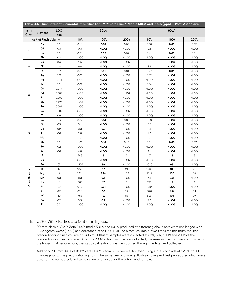|                     | Table 39. Flush Effluent Elemental Impurities for 3M™ Zeta Plus™ Media 50LA and 90LA (ppb) - Post-Autoclave |                |                 |                                                                                                                                           |         |                 |                                                   |                |
|---------------------|-------------------------------------------------------------------------------------------------------------|----------------|-----------------|-------------------------------------------------------------------------------------------------------------------------------------------|---------|-----------------|---------------------------------------------------|----------------|
| <b>ICH</b><br>Class | Element                                                                                                     | LOQ<br>[ppb]   |                 | <b>50LA</b>                                                                                                                               |         |                 | <b>90LA</b>                                       |                |
|                     | At % of Flush Volume                                                                                        |                | 10 <sup>°</sup> | 100%                                                                                                                                      | 200%    | 10 <sup>°</sup> | 100%                                              | 200%           |
|                     | As                                                                                                          | 0.01           | 0.11            | 0.03                                                                                                                                      | 0.02    | 0.06            | 0.05                                              | 0.02           |
| $\mathbf{1}$        | Cd                                                                                                          | 0.3            | 0.3             | $<$ LOQ                                                                                                                                   | $<$ LOQ | 0.3             | <loq< th=""><th><math>&lt;</math>LOQ</th></loq<>  | $<$ LOQ        |
|                     | Hg                                                                                                          | 0.01           | 0.51            | 0.02                                                                                                                                      | 0.02    | 0.41            | 0.03                                              | 0.01           |
|                     | Pb                                                                                                          | 0.2            | $<$ LOQ         | <loq< th=""><th><math>&lt;</math> LOQ</th><th><math>&lt;</math> LOQ</th><th><loq< th=""><th><math>&lt;</math> LOQ</th></loq<></th></loq<> | $<$ LOQ | $<$ LOQ         | <loq< th=""><th><math>&lt;</math> LOQ</th></loq<> | $<$ LOQ        |
|                     | Co                                                                                                          | 0.4            | 1.5             | <loq< th=""><th><math>&lt;</math> LOQ</th><th>2.6</th><th><loq< th=""><th><math>&lt;</math>LOQ</th></loq<></th></loq<>                    | $<$ LOQ | 2.6             | <loq< th=""><th><math>&lt;</math>LOQ</th></loq<>  | $<$ LOQ        |
| 2A                  | Ni                                                                                                          | 1.8            | 6.0             | $<$ LOQ                                                                                                                                   | $<$ LOQ | 3.8             | <loq< th=""><th><math>&lt;</math>LOQ</th></loq<>  | $<$ LOQ        |
|                     | $\mathsf{v}$                                                                                                | 0.01           | 0.33            | 0.01                                                                                                                                      | 0.01    | 0.27            | 0.01                                              | $<$ LOQ        |
|                     | Ag                                                                                                          | 0.02           | 0.03            | <loq< th=""><th><math>&lt;</math> LOQ</th><th>0.02</th><th><loq< th=""><th><math>&lt;</math>LOQ</th></loq<></th></loq<>                   | $<$ LOQ | 0.02            | <loq< th=""><th><math>&lt;</math>LOQ</th></loq<>  | $<$ LOQ        |
|                     | Au                                                                                                          | 0.071          | $<$ LOQ         | <loq< th=""><th><math>&lt;</math> LOQ</th><th><math>&lt;</math> LOQ</th><th><loq< th=""><th><math>&lt;</math>LOQ</th></loq<></th></loq<>  | $<$ LOQ | $<$ LOQ         | <loq< th=""><th><math>&lt;</math>LOQ</th></loq<>  | $<$ LOQ        |
|                     | Ir                                                                                                          | 0.01           | 0.02            | $<$ LOQ                                                                                                                                   | $<$ LOQ | 0.04            | <loq< th=""><th><math>&lt;</math>LOQ</th></loq<>  | $<$ LOQ        |
|                     | Os                                                                                                          | 0.017          | $<$ LOQ         | <loq< th=""><th><math>&lt;</math> LOQ</th><th><math>&lt;</math> LOQ</th><th><loq< th=""><th><math>&lt;</math> LOQ</th></loq<></th></loq<> | $<$ LOQ | $<$ LOQ         | <loq< th=""><th><math>&lt;</math> LOQ</th></loq<> | $<$ LOQ        |
| 2B                  | Pd                                                                                                          | 0.002          | $<$ LOQ         | $<$ LOQ                                                                                                                                   | $<$ LOQ | $<$ LOQ         | <loq< th=""><th><math>&lt;</math>LOQ</th></loq<>  | $<$ LOQ        |
|                     | Pt                                                                                                          | 0.002          | $<$ LOQ         | $<$ LOQ                                                                                                                                   | $<$ LOQ | $<$ LOQ         | <loq< th=""><th><math>&lt;</math> LOQ</th></loq<> | $<$ LOQ        |
|                     | Rh                                                                                                          | 0.275          | $<$ LOQ         | $<$ LOQ                                                                                                                                   | $<$ LOQ | $<$ LOQ         | <loq< th=""><th><math>&lt;</math>LOQ</th></loq<>  | $<$ LOQ        |
|                     | Ru                                                                                                          | 0.001          | $<$ LOQ         | $<$ LOQ                                                                                                                                   | $<$ LOQ | $<$ LOQ         | <loq< th=""><th><math>&lt;</math>LOQ</th></loq<>  | $<$ LOQ        |
|                     | Se                                                                                                          | 0.002          | $<$ LOQ         | <loq< th=""><th><math>&lt;</math> LOQ</th><th><math>&lt;</math> LOQ</th><th><loq< th=""><th><math>&lt;</math> LOQ</th></loq<></th></loq<> | $<$ LOQ | $<$ LOQ         | <loq< th=""><th><math>&lt;</math> LOQ</th></loq<> | $<$ LOQ        |
|                     | TI                                                                                                          | 0.6            | $<$ LOQ         | $<$ LOQ                                                                                                                                   | $<$ LOQ | $<$ LOQ         | <loq< th=""><th><math>&lt;</math>LOQ</th></loq<>  | $<$ LOQ        |
|                     | Ba                                                                                                          | 0.02           | 0.07            | 0.04                                                                                                                                      | 0.03    | 0.03            | <loq< th=""><th><math>&lt;</math>LOQ</th></loq<>  | $<$ LOQ        |
|                     | Cr                                                                                                          | 0.3            | 3.1             | <loq< th=""><th><math>&lt;</math> LOQ</th><th>3.5</th><th><loq< th=""><th><math>&lt;</math>LOQ</th></loq<></th></loq<>                    | $<$ LOQ | 3.5             | <loq< th=""><th><math>&lt;</math>LOQ</th></loq<>  | $<$ LOQ        |
|                     | Cu                                                                                                          | 0.2            | 3.3             | 0.2                                                                                                                                       | $<$ LOQ | 3.3             | <loq< th=""><th><math>&lt;</math>LOQ</th></loq<>  | $<$ LOQ        |
| 3                   | Li                                                                                                          | 0.6            | 2.8             | $\leq$ LOQ                                                                                                                                | $<$ LOQ | 1.2             | <loq< th=""><th><math>&lt;</math> LOQ</th></loq<> | $<$ LOQ        |
|                     | Mo                                                                                                          | $\overline{4}$ | 26              | $<$ LOQ                                                                                                                                   | $<$ LOQ | $\hbox{9}$      | <loq< th=""><th><math>&lt;</math> LOQ</th></loq<> | $<$ LOQ        |
|                     | Sb                                                                                                          | 0.01           | 1.05            | 0.15                                                                                                                                      | 0.15    | 0.61            | 0.08                                              | 0.07           |
|                     | Sn                                                                                                          | 0.2            | $<$ LOQ         | <loq< th=""><th><math>&lt;</math>LOQ</th><th><math>&lt;</math> LOQ</th><th><loq< th=""><th><math>&lt;</math>LOQ</th></loq<></th></loq<>   | $<$ LOQ | $<$ LOQ         | <loq< th=""><th><math>&lt;</math>LOQ</th></loq<>  | $<$ LOQ        |
|                     | Al                                                                                                          | 0.6            | 4.8             | <loq< th=""><th><math>&lt;</math> LOQ</th><th>4.1</th><th><loq< th=""><th><math>&lt;</math>LOQ</th></loq<></th></loq<>                    | $<$ LOQ | 4.1             | <loq< th=""><th><math>&lt;</math>LOQ</th></loq<>  | $<$ LOQ        |
|                     | B                                                                                                           | $\overline{4}$ | 249             | 9                                                                                                                                         | 5       | 102             | 18                                                | 9              |
|                     | Ca                                                                                                          | 20             | $<$ LOQ         | $<$ LOQ                                                                                                                                   | $<$ LOQ | $<$ LOQ         | <loq< th=""><th><math>&lt;</math> LOQ</th></loq<> | $<$ LOQ        |
|                     | Fe                                                                                                          | 65             | 1406            | 90                                                                                                                                        | $<$ LOQ | 2016            | 69                                                | $<$ LOQ        |
|                     | κ                                                                                                           | 17             | 1041            | 52                                                                                                                                        | 24      | 1235            | 34                                                | 21             |
|                     | Mg                                                                                                          | 3              | 5911            | 224                                                                                                                                       | 133     | 5519            | 135                                               | 58             |
| Other Elements      | Mn                                                                                                          | 0.3            | 8.3             | 0.4                                                                                                                                       | $<$ LOQ | 7.8             | 0.3                                               | $<$ LOQ        |
|                     | Na                                                                                                          | $\mathbf{2}$   | 560             | 17                                                                                                                                        | 8       | 726             | 14                                                | $\overline{4}$ |
|                     | Si                                                                                                          | 0.01           | 0.16            | 0.01                                                                                                                                      | $<$ LOQ | 0.12            | <loq< th=""><th><math>&lt;</math>LOQ</th></loq<>  | $<$ LOQ        |
|                     | Sr                                                                                                          | 0.2            | 31.1            | 2.2                                                                                                                                       | 0.7     | 20.6            | 1.6                                               | 0.4            |
|                     | W                                                                                                           | 10             | 758             | 127                                                                                                                                       | 88      | 503             | 104                                               | 99             |
|                     | Zn                                                                                                          | 0.2            | 3.3             | 0.2                                                                                                                                       | $<$ LOQ | 2.2             | <loq< th=""><th><math>&lt;</math>LOQ</th></loq<>  | $<$ LOQ        |
|                     | Zr                                                                                                          | 0.01           | $<$ LOQ         | <loq< th=""><th><math>&lt;</math> LOQ</th><th><math>&lt;</math> LOQ</th><th><loq< th=""><th><math>&lt;</math>LOQ</th></loq<></th></loq<>  | $<$ LOQ | $<$ LOQ         | <loq< th=""><th><math>&lt;</math>LOQ</th></loq<>  | $<$ LOQ        |

#### <span id="page-31-0"></span>E. USP <788> Particulate Matter in Injections

90-mm discs of 3M™ Zeta Plus™ media 50LA and 90LA produced at different global plants were challenged with 18 Megohm water (25°C) at a constant flux of 1200 LMH to a total volume of two times the minimum required preconditioning flush volume of 54 L/m². Effluent samples were collected at 33%, 66%, 100% and 200% of the preconditioning flush volume. After the 200% extract sample was collected, the remaining extract was left to soak in the housing. After one hour, the static soak extract was then pushed through the filter and collected.

Additional 90-mm discs of 3M™ Zeta Plus™ media 50LA were autoclaved using a pre-vac cycle at 121°C for 60 minutes prior to the preconditioning flush. The same preconditioning flush sampling and test procedures which were used for the non-autoclaved samples were followed for the autoclaved samples.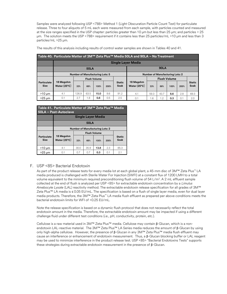Samples were analyzed following USP <788> Method 1 (Light Obscuration Particle Count Test) for particulate release. Three to four aliquots of 5 mL each were measured from each sample, with particles counted and measured at the size ranges specified in the USP chapter: particles greater than 10 μm but less than 25 μm; and particles > 25 μm. The solution meets the USP <788> requirement if it contains less than 25 particles/mL >10 μm and less than 3 particles/mL >25 μm.

| Table 40. Particulate Matter of 3M™ Zeta Plus™ Media 50LA and 90LA - No Treatment |                                                                                  |       |      |                     |      |                       |                                    |                     |      |      |      |                       |
|-----------------------------------------------------------------------------------|----------------------------------------------------------------------------------|-------|------|---------------------|------|-----------------------|------------------------------------|---------------------|------|------|------|-----------------------|
|                                                                                   | <b>Single Layer Media</b>                                                        |       |      |                     |      |                       |                                    |                     |      |      |      |                       |
|                                                                                   |                                                                                  |       |      | <b>90LA</b>         |      |                       |                                    |                     |      |      |      |                       |
|                                                                                   | <b>Number of Manufacturing Lots: 5</b><br><b>Number of Manufacturing Lots: 2</b> |       |      |                     |      |                       |                                    |                     |      |      |      |                       |
|                                                                                   |                                                                                  |       |      | <b>Flush Volume</b> |      |                       |                                    | <b>Flush Volume</b> |      |      |      |                       |
| Particulate<br><b>Size</b>                                                        | 18 Megohm<br>Water $(25^{\circ}C)$                                               | 33%   | 66%  | 100%                | 200% | <b>Static</b><br>Soak | 18 Megohm<br>Water $(25^{\circ}C)$ | 33%                 | 66%  | 100% | 200% | <b>Static</b><br>Soak |
| $>10 \mu m$                                                                       | 4.1                                                                              | 126.9 | 63.5 | 15.0                | 8.6  | 91.2                  | 4.1                                | 59.3                | 43.7 | 8.6  | 2.8  | 69.3                  |
| $>25 \mu m$                                                                       | 0.1                                                                              | 2.7   | 1.8  | 0.6                 | 0.5  | 2.5                   | 0.1                                | .6                  | 1.2  | 0.3  | 0.1  | 2.0                   |

The results of this analysis including results of control water samples are shown in Tables 40 and 41.

| Table 41. Particulate Matter of 3M™ Zeta Plus™ Media<br>50LA - Post-Autoclave |                                        |                                                     |                     |      |     |      |  |  |
|-------------------------------------------------------------------------------|----------------------------------------|-----------------------------------------------------|---------------------|------|-----|------|--|--|
|                                                                               |                                        | <b>Single Layer Media</b>                           |                     |      |     |      |  |  |
|                                                                               |                                        | <b>50LA</b>                                         |                     |      |     |      |  |  |
|                                                                               | <b>Number of Manufacturing Lots: 2</b> |                                                     |                     |      |     |      |  |  |
|                                                                               |                                        |                                                     | <b>Flush Volume</b> |      |     |      |  |  |
| Particulate<br><b>Size</b>                                                    | 18 Megohm<br>Water $(25^{\circ}C)$     | <b>Static</b><br>Soak<br>33%<br>66%<br>100%<br>200% |                     |      |     |      |  |  |
| $>10 \mu m$                                                                   | 4.1                                    | 30.0                                                | 35.9                | 13.8 | 2.3 | 85.3 |  |  |
| $>25 \mu m$                                                                   | 0.1                                    | 0.7                                                 | 0.7                 | 0.3  | 0.1 | 2.1  |  |  |

#### <span id="page-32-0"></span>F. USP <85> Bacterial Endotoxin

As part of the product release tests for every media lot at each global plant, a 45-mm disc of 3M™ Zeta Plus™ LA media produced is challenged with Sterile Water For Injection (SWFI) at a constant flux of 1200 LMH to a total volume equivalent to the minimum required preconditioning flush volume of 54 L/m<sup>2</sup>. A 2 mL effluent sample collected at the end of flush is analyzed per USP <85> for extractable endotoxin concentration by a *Limulus Amebocyte Lysate* (LAL) reactivity method. The extractable endotoxin release specification for all grades of 3M™ Zeta Plus™ LA media is ≤ 0.05 EU/mL. The specification is based on a flush of single layer media, even for dual layer media products. Therefore, the 3M™ Zeta Plus™ LA media flush effluent as prepared per above conditions meets the bacterial endotoxin limits for WFI of <0.25 EU/mL.

Note the release specification is based on a dynamic flush protocol that does not necessarily reflect the total endotoxin amount in the media. Therefore, the extractable endotoxin amount may be impacted if using a different challenge fluid under different test conditions (*i.e.*, pH, conductivity, protein, *etc*.).

Cellulose is a raw material used in 3M™ Zeta Plus™ media. Cellulose may contain β-Glucan, which is a nonendotoxin LAL-reactive material. The 3M™ Zeta Plus™ LA Series media reduces the amount of β-Glucan by using only high-alpha cellulose. However, the presence of β-Glucan in any 3M™ Zeta Plus™ media flush effluent may cause an interference or enhancement of endotoxin measurement. Thus, a β-Glucan blocking buffer or LAL reagent may be used to minimize interference in the product release test. USP <85> "Bacterial Endotoxins Tests" supports these strategies during extractable endotoxin measurement in the presence of β-Glucan.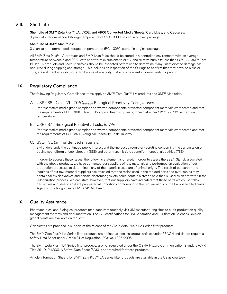# <span id="page-33-0"></span>VIII. Shelf Life

# Shelf Life of 3M™ Zeta Plus™ LA, VR02, and VR06 Converted Media Sheets, Cartridges, and Capsules:

3 years at a recommended storage temperature of 5°C - 30°C, stored in original package

#### Shelf Life of 3M™ Manifolds:

3 years at a recommended storage temperature of 5°C - 30°C, stored in original package

All 3M™ Zeta Plus™ LA products and 3M™ Manifolds should be stored in a controlled environment with an average temperature between 5 and 30°C with short term excursions to 50°C, and relative humidity less than 90%. All 3M™ Zeta Plus™ LA products and 3M™ Manifolds should be inspected before use to determine if any unanticipated damage has occurred during shipping and storage. This includes an inspection of the O-rings to confirm that they have no nicks or cuts, are not cracked or do not exhibit a loss of elasticity that would prevent a normal sealing operation.

# <span id="page-33-1"></span>IX. Regulatory Compliance

The following Regulatory Compliance items apply to 3M™ Zeta Plus™ LA products and 3M™ Manifolds.

<span id="page-33-2"></span>A. USP <88> Class VI - 70°C<sub>minimum</sub> Biological Reactivity Tests, *In Vivo* 

Representative media grade samples and wetted components or wetted component materials were tested and met the requirements of USP <88> Class VI, Biological Reactivity Tests, *In Vivo* at either 121˚C or 70˚C extraction temperature.

<span id="page-33-3"></span>B. USP <87> Biological Reactivity Tests, *In Vitro*

Representative media grade samples and wetted components or wetted component materials were tested and met the requirements of USP <87> Biological Reactivity Tests, In Vitro.

#### <span id="page-33-4"></span>C. BSE/TSE (animal derived materials)

3M understands the continued public interest and the increased regulatory scrutiny concerning the transmission of bovine spongiform encephalopathy (BSE) and other transmissible spongiform encephalopathies (TSE).

In order to address these issues, the following statement is offered: In order to assess the BSE/TSE risk associated with the above products, we have contacted our suppliers of raw materials and performed an evaluation of our production processes to determine if any of the materials used are of animal origin. The result of our survey and inquiries of our raw material suppliers has revealed that the resins used in the molded parts and over-molds may contain tallow derivatives and certain elastomer gaskets could contain a stearic acid that is used as an activator in the vulcanization process. We can state, however, that our suppliers have indicated that these parts which use tallow derivatives and stearic acid are processed at conditions conforming to the requirements of the European Medicines Agency note for guidance EMEA/410/01 rev.3.

# <span id="page-33-5"></span>X. Quality Assurance

Pharmaceutical and Biological products manufacturers routinely visit 3M manufacturing sites to audit production quality management systems and documentation. The ISO certifications for 3M Separation and Purification Sciences Division global plants are available on request.

Certificates are provided in support of the release of the 3M™ Zeta Plus™ LA Series filter products.

The 3M™ Zeta Plus™ LA Series filter products are defined as non-hazardous articles under REACH and do not require a Safety Data Sheet under Article 31 of Regulation (EC) No. 1907/2006.

The 3M™ Zeta Plus™ LA Series filter products are not regulated under the OSHA Hazard Communication Standard (CFR Title 29 1910.1200). A Safety Data Sheet (SDS) is not required for these products.

Article Information Sheets for 3M™ Zeta Plus™ LA Series filter products are available in the US as courtesy.